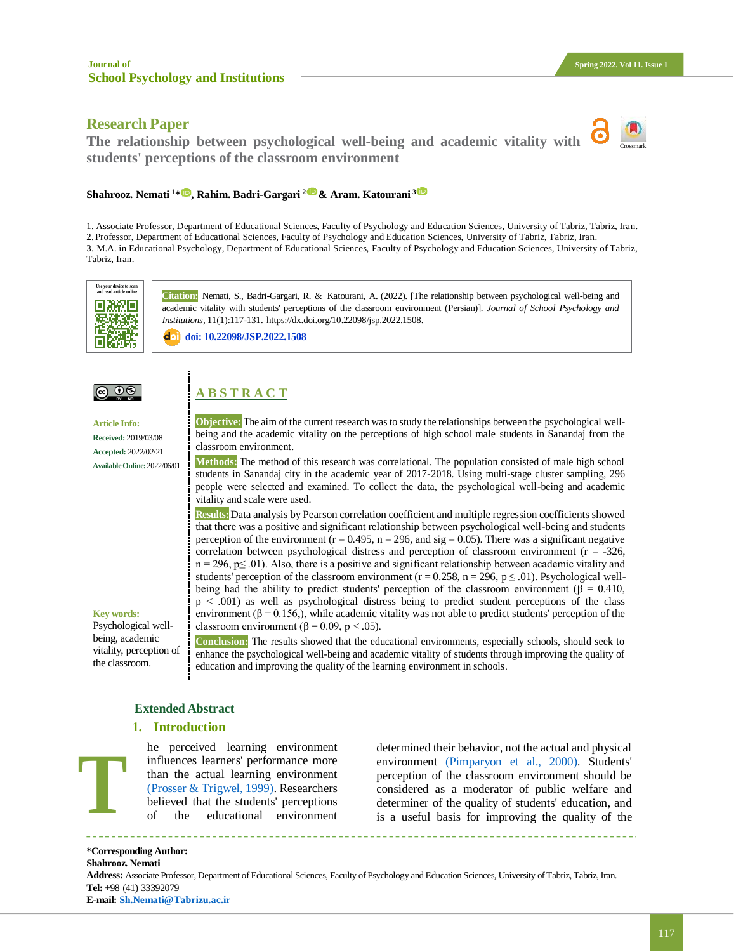# **Research Paper**

**The relationship between psychological well-being and academic vitality with students' perceptions of the classroom environment**



#### **Shahrooz. Nemati <sup>1</sup>[\\*](https://www.orcid.org/0000-0001-6898-9749) , Rahim. Badri-Gargari 2& Aram. Katourani <sup>3</sup>**

1. Associate Professor, Department of Educational Sciences, Faculty of Psychology and Education Sciences, University of Tabriz, Tabriz, Iran. 2. Professor, Department of Educational Sciences, Faculty of Psychology and Education Sciences, University of Tabriz, Tabriz, Iran. 3. M.A. in Educational Psychology, Department of Educational Sciences, Faculty of Psychology and Education Sciences, University of Tabriz, Tabriz, Iran.



**Citation:** Nemati, S., Badri-Gargari, R. & Katourani, A. (2022). [The relationship between psychological well-being and academic vitality with students' perceptions of the classroom environment (Persian)]. *Journal of School Psychology and Institutions,* 11(1):117-131. https://dx.doi.org/10.22098/jsp.2022.1508.

**doi: [10.22098/JSP.2022.1508](http://jsp.uma.ac.ir/article_1508.html?lang=en)**

# <u>@ 00 </u>

 $\overline{\phantom{a}}$ 

**A B S T R A C T**

**Article Info: Received:** 2019/03/08 **Accepted:** 2022/02/21 **AvailableOnline:**2022/06/01

**Key words:** Psychological wellbeing, academic vitality, perception of the classroom.

**Objective:** The aim of the current research was to study the relationships between the psychological wellbeing and the academic vitality on the perceptions of high school male students in Sanandaj from the classroom environment.

**Methods:** The method of this research was correlational. The population consisted of male high school students in Sanandaj city in the academic year of 2017-2018. Using multi-stage cluster sampling, 296 people were selected and examined. To collect the data, the psychological well-being and academic vitality and scale were used.

**Results:**Data analysis by Pearson correlation coefficient and multiple regression coefficients showed that there was a positive and significant relationship between psychological well-being and students perception of the environment ( $r = 0.495$ ,  $n = 296$ , and  $sig = 0.05$ ). There was a significant negative correlation between psychological distress and perception of classroom environment ( $r = -326$ ,  $n = 296$ ,  $p \le 0.01$ ). Also, there is a positive and significant relationship between academic vitality and students' perception of the classroom environment ( $r = 0.258$ ,  $n = 296$ ,  $p \le .01$ ). Psychological wellbeing had the ability to predict students' perception of the classroom environment ( $\beta = 0.410$ , p > .001) as well as psychological distress being to predict student perceptions of the class environment ( $\beta = 0.156$ ), while academic vitality was not able to predict students' perception of the classroom environment ( $\beta$  = 0.09, p < .05).

**Conclusion:** The results showed that the educational environments, especially schools, should seek to enhance the psychological well-being and academic vitality of students through improving the quality of education and improving the quality of the learning environment in schools.

## **Extended Abstract**

## **1. Introduction**

he perceived learning environment influences learners' performance more than the actual learning environment [\(Prosser & Trigwel, 1999\).](#page-13-0) Researchers believed that the students' perceptions of the educational environment

determined their behavior, not the actual and physical environment [\(Pimparyon et al., 2000\).](#page-13-1) Students' perception of the classroom environment should be considered as a moderator of public welfare and determiner of the quality of students' education, and is a useful basis for improving the quality of the

**\*Corresponding Author: Shahrooz. Nemati**

**T**

**Address:** Associate Professor, Department of Educational Sciences, Faculty of Psychology and Education Sciences, University of Tabriz, Tabriz, Iran. **Tel:** +98 (41) 33392079 **E-mail: [Sh.Nemati@Tabrizu.ac.ir](mailto:Sh.Nemati@Tabrizu.ac.ir)**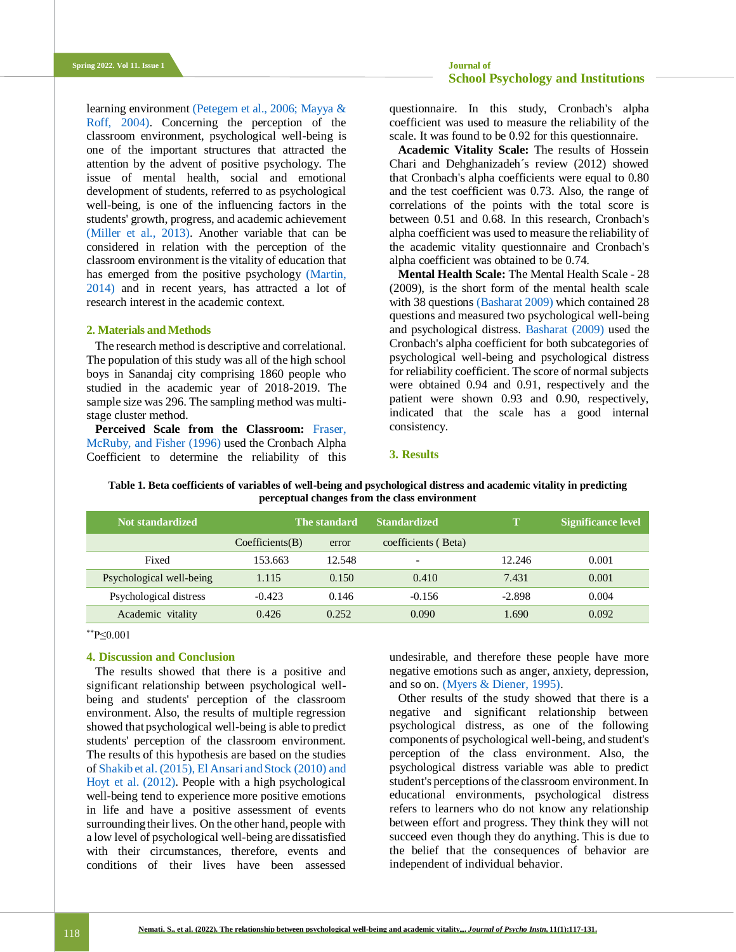learning environment [\(Petegem et al., 2006;](#page-13-2) [Mayya &](#page-13-3)  [Roff, 2004\).](#page-13-3) Concerning the perception of the classroom environment, psychological well-being is one of the important structures that attracted the attention by the advent of positive psychology. The issue of mental health, social and emotional development of students, referred to as psychological well-being, is one of the influencing factors in the students' growth, progress, and academic achievement [\(Miller et al., 2013\).](#page-13-4) Another variable that can be considered in relation with the perception of the classroom environment is the vitality of education that has emerged from the positive psychology [\(Martin,](#page-13-5)  [2014\)](#page-13-5) and in recent years, has attracted a lot of research interest in the academic context.

## **2. Materials and Methods**

The research method is descriptive and correlational. The population of this study was all of the high school boys in Sanandaj city comprising 1860 people who studied in the academic year of 2018-2019. The sample size was 296. The sampling method was multistage cluster method.

**Perceived Scale from the Classroom:** [Fraser,](#page-12-0)  [McRuby, and Fisher \(1996\)](#page-12-0) used the Cronbach Alpha Coefficient to determine the reliability of this questionnaire. In this study, Cronbach's alpha coefficient was used to measure the reliability of the scale. It was found to be 0.92 for this questionnaire.

**Academic Vitality Scale:** The results of Hossein Chari and Dehghanizadeh´s review (2012) showed that Cronbach's alpha coefficients were equal to 0.80 and the test coefficient was 0.73. Also, the range of correlations of the points with the total score is between 0.51 and 0.68. In this research, Cronbach's alpha coefficient was used to measure the reliability of the academic vitality questionnaire and Cronbach's alpha coefficient was obtained to be 0.74.

**Mental Health Scale:** The Mental Health Scale - 28 (2009), is the short form of the mental health scale with 38 question[s \(Basharat 2009\)](#page-11-0) which contained 28 questions and measured two psychological well-being and psychological distres[s.](#page-11-0) [Basharat \(2009\)](#page-11-0) used the Cronbach's alpha coefficient for both subcategories of psychological well-being and psychological distress for reliability coefficient. The score of normal subjects were obtained 0.94 and 0.91, respectively and the patient were shown 0.93 and 0.90, respectively, indicated that the scale has a good internal consistency.

#### **3. Results**

| Not standardized         | The standard    |        | <b>Standardized</b>      |          | <b>Significance level</b> |
|--------------------------|-----------------|--------|--------------------------|----------|---------------------------|
|                          | Coefficients(B) | error  | coefficients (Beta)      |          |                           |
| Fixed                    | 153.663         | 12.548 | $\overline{\phantom{0}}$ | 12.246   | 0.001                     |
| Psychological well-being | 1.115           | 0.150  | 0.410                    | 7.431    | 0.001                     |
| Psychological distress   | $-0.423$        | 0.146  | $-0.156$                 | $-2.898$ | 0.004                     |
| Academic vitality        | 0.426           | 0.252  | 0.090                    | 1.690    | 0.092                     |

**Table 1. Beta coefficients of variables of well-being and psychological distress and academic vitality in predicting perceptual changes from the class environment**

\*\*P≤0.001

## **4. Discussion and Conclusion**

The results showed that there is a positive and significant relationship between psychological wellbeing and students' perception of the classroom environment. Also, the results of multiple regression showed that psychological well-being is able to predict students' perception of the classroom environment. The results of this hypothesis are based on the studies o[f Shakib et al. \(2015\),](#page-14-0) [El Ansari and Stock \(2010\)](#page-12-1) [and](#page-12-2)  [Hoyt et al. \(2012\).](#page-12-2) People with a high psychological well-being tend to experience more positive emotions in life and have a positive assessment of events surrounding their lives. On the other hand, people with a low level of psychological well-being are dissatisfied with their circumstances, therefore, events and conditions of their lives have been assessed

undesirable, and therefore these people have more negative emotions such as anger, anxiety, depression, and so on[. \(Myers & Diener, 1995\).](#page-13-6)

Other results of the study showed that there is a negative and significant relationship between psychological distress, as one of the following components of psychological well-being, and student's perception of the class environment. Also, the psychological distress variable was able to predict student's perceptions of the classroom environment. In educational environments, psychological distress refers to learners who do not know any relationship between effort and progress. They think they will not succeed even though they do anything. This is due to the belief that the consequences of behavior are independent of individual behavior.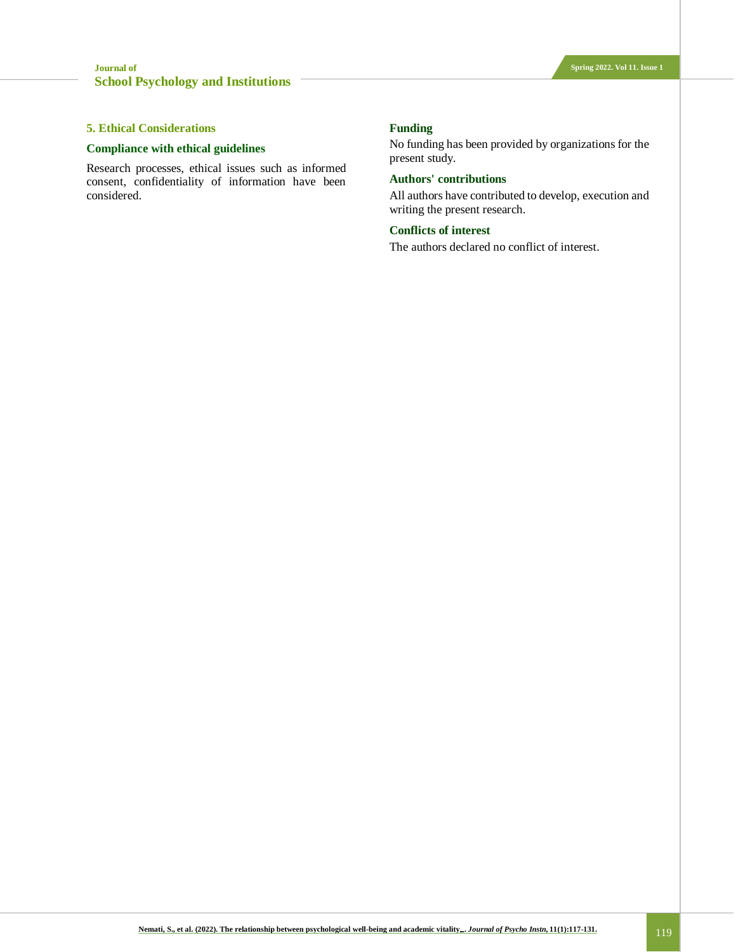## **5. Ethical Considerations**

## **Compliance with ethical guidelines**

Research processes, ethical issues such as informed consent, confidentiality of information have been considered.

#### **Funding**

No funding has been provided by organizations for the present study.

## **Authors' contributions**

All authors have contributed to develop, execution and writing the present research.

#### **Conflicts of interest**

The authors declared no conflict of interest.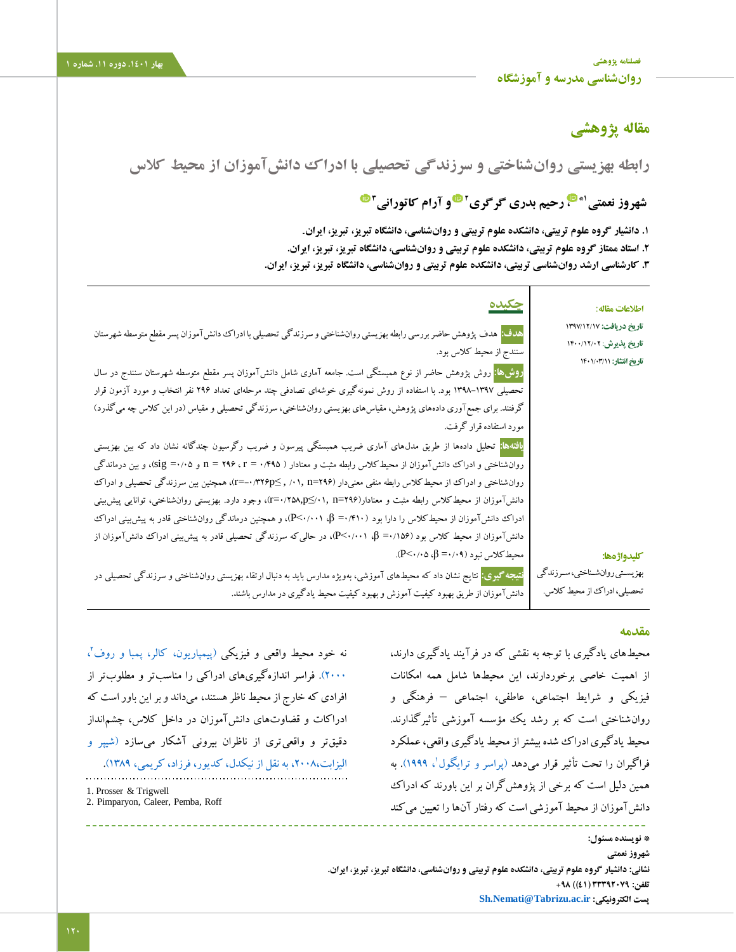**[فصلنامه پژوهشی](http://jsp.uma.ac.ir/) بهار .1401 دوره .11 شماره 1 [روانشناسی مدرسه و آموزشگاه](http://jsp.uma.ac.ir/)**

# **مقاله پژوهشی**

**رابطه بهزیستی روانشناختی و سرزندگی تحصیلی با ادراک دانشآموزان از محیط کالس**

# **[،](https://www.orcid.org/0000-0001-6898-9749) رحیم بدری گرگری 1\* شهروز نعمتی** **و آرام کاتورانی <sup>2</sup> 3**

**.1 دانشیار گروه علوم تربیتی، دانشکده علوم تربیتی و روانشناسی، دانشگاه تبریز، تبریز، ایران**. **.2 استاد ممتاز گروه علوم تربیتی، دانشکده علوم تربیتی و روانشناسی، دانشگاه تبریز، تبریز، ایران. .3 کارشناسی ارشد روانشناسی تربیتی، دانشکده علوم تربیتی و روانشناسی، دانشگاه تبریز، تبریز، ایران.**

| اطلاعات مقاله:                                                                  | <u>چکیده</u>                                                                                                                                                                                                                                      |
|---------------------------------------------------------------------------------|---------------------------------------------------------------------------------------------------------------------------------------------------------------------------------------------------------------------------------------------------|
| تاریخ دریافت: ۱۳۹۷/۱۲/۱۷<br>تاریخ پذیرش: ۱۴۰۰/۱۲/۰۲<br>تاریخ انتشار: ۱۴۰۱/۰۳/۱۱ | ه <b>دف:</b> هدف پژوهش حاضر بررسی رابطه بهزیستی روانشناختی و سرزندگی تحصیلی با ادراک دانش آموزان پسر مقطع متوسطه شهرستان<br>سنندج از محیط کلاس بود.                                                                                               |
|                                                                                 | <mark>روش&amp;ا:</mark> روش پژوهش حاضر از نوع همبستگی است. جامعه آماری شامل دانشTموزان پسر مقطع متوسطه شهرستان سنندج در سال<br>تحصیلی ۱۳۹۷–۱۳۹۸ بود. با استفاده از روش نمونهگیری خوشهای تصادفی چند مرحلهای تعداد ۲۹۶ نفر انتخاب و مورد آزمون قرار |
|                                                                                 | گرفتند. برای جمع آوری دادههای پژوهش، مقیاسهای بهزیستی روانشناختی، سرزندگی تحصیلی و مقیاس (در این کلاس چه میگذرد)<br>  مورد استفاده قرار گرفت.                                                                                                     |
|                                                                                 | <mark>یافتهها:</mark> تحلیل دادهها از طریق مدلهای آماری ضریب همبستگی پیرسون و ضریب رگرسیون چندگانه نشان داد که بین بهزیستی<br>روان شناختی و ادراک دانش آموزان از محیط کلاس رابطه مثبت و معنادار ( ۳۹۵+ + = r × + + x و sig)، و بین درماندگی       |
|                                                                                 | روانشناختی و ادراک از محیط کلاس رابطه منفی معنیدار (۱۰۹۶–۰۲ , ۱۰۱٫ n=۲۴p)، همچنین بین سرزندگی تحصیلی و ادراک<br>دانشآموزان از محیط کلاس رابطه مثبت و معنادار(۲۹۶=۲۱, n=۲۵۸,p)، وجود دارد. بهزیستی روانشناختی، توانایی پیش بینی                    |
|                                                                                 | ادراک دانش آموزان از محیط کلاس را دارا بود (۴۱۰+۰= β، ۱۰۰۱+۰>C)، و همچنین درماندگی روانشناختی قادر به پیش بینی ادراک<br>دانشآموزان از محیط کلاس بود (β =۰/۱۵۶-)، در حالی که سرزندگی تحصیلی قادر به پیش.پینی ادراک دانشآموزان از                   |
| كليدواژهها:<br>بهزيسـتي روانشـناختي، سـرزندگي                                   | $P<\!\!\cdot\! \cdot\! \cdot\! \circ \beta =\!\!\cdot\! \cdot\! \cdot\! \circ$ محیط کلاس نبود (۱۰۹–<br>ن <b>تیجه گیری:</b> نتایج نشان داد که محیطهای آموزشی، بهویژه مدارس باید به دنبال ارتقاء بهزیستی روان،شناختی و سرزندگی تحصیلی در            |
| تحصیلی، ادراک از محیط کلاس.                                                     | دانشآموزان از طریق بهبود کیفیت آموزش و بهبود کیفیت محیط یادگیری در مدارس باشند.                                                                                                                                                                   |

## **مقدمه**

**\* نویسنده مسئول:**

محیطهای یادگیری با توجه به نقشی که در فرآیند یادگیری دارند، از اهمیت خاصی برخوردارند، این محیطها شامل همه امکانات فیزیکی و شرایط اجتماعی، عاطفی، اجتماعی – فرهنگی و روانشناختی است که بر رشد یک مؤسسه آموزشی تأثیرگذارند. محیط یادگیری ادراک شده بیشتر از محیط یادگیری واقعی، عملکرد فراگیران را تحت تأثیر قرار میدهد (پراسر و ترایگول'، ۱۹۹۹). به همین دلیل است که برخی از پژوهشگران بر این باورند که ادراک دانش آموزان از محیط آموزشی است که رفتار آنها را تعیین میکند

نه خود محیط واقعی و فیزیکی (پیمپاریون، [کالر، پمبا و روف](#page-13-1)<sup>٬</sup>، [2000\(.](#page-13-1) فراسر اندازهگیریهای ادراکی را مناسبتر و مطلوبتر از افرادی که خارج از محیط ناظر هستند، میداند و بر این باور است که ادراکات و قضاوتهای دانشآموزان در داخل کالس، چشمانداز دقیقتر و واقعیتری از ناظران بیرونی آشکار میسازد [\)شیپر و](#page-11-1)  [الیزابت،2008، به نقل از نیکدل، کدیور، فرزاد، کریمی، 1389\(.](#page-11-1)  1. Prosser & Trigwell

2. Pimparyon, Caleer, Pemba, Roff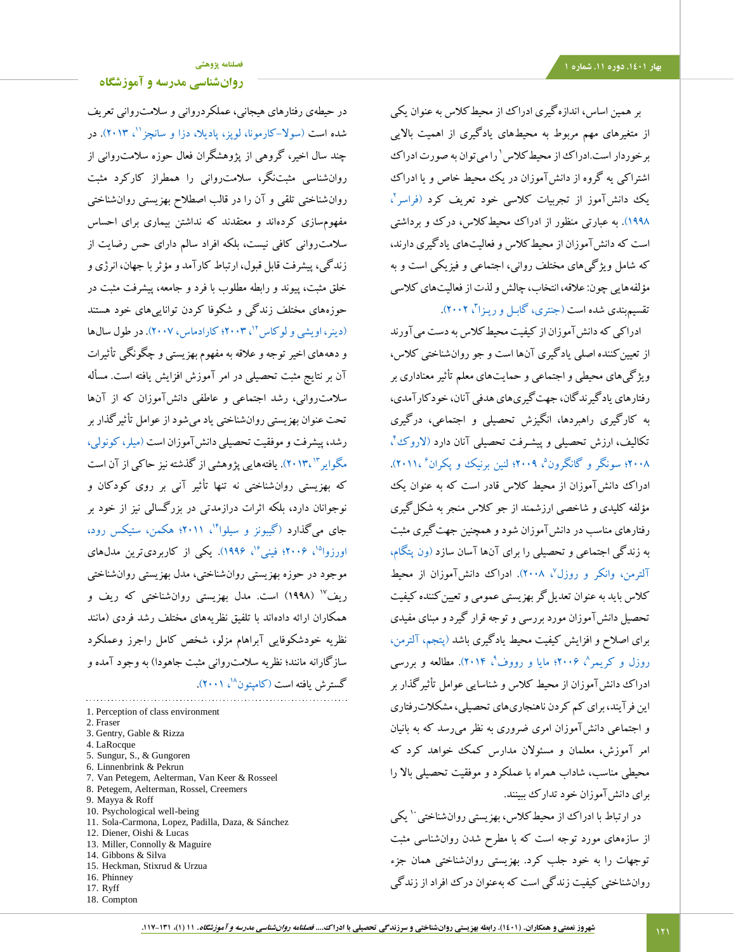بر همین اساس، اندازهگیری ادراک از محیطکالس به عنوان یکی از متغیرهای مهم مربوط به محیطهای یادگیری از اهمیت باالیی برخوردار است.ادراک از محیط کلاس ' را می توان به صورت ادراک اشتراکی یه گروه از دانشآموزان در یک محیط خاص و یا ادراک یک دانشآموز از تجربیات کلاسی خود تعریف کرد (فراسر<sup>י</sup>، [1998\(.](#page-12-0) به عبارتی منظور از ادراک محیطکالس، درک و برداشتی است که دانشآموزان از محیطکالس و فعالیتهای یادگیری دارند، که شامل ویژگیهای مختلف روانی، اجتماعی و فیزیکی است و به مؤلفههایی چون: عالقه، انتخاب، چالش و لذت از فعالیتهای کالسی تقسیم.بندی شده است (جنتری، گابـل و ریـزا<sup>۳</sup>، ۲۰۰۲).

ادراکی که دانشآموزان از کیفیت محیطکالس به دست میآورند از تعیین کننده اصلی یادگیری آنها است و جو روان شناختی کلاس، ویژگیهای محیطی و اجتماعی و حمایتهای معلم تأثیر معناداری بر رفتارهای یادگیرندگان، جهتگیریهای هدفی آنان، خودکارآمدی، به کارگیری راهبردها، انگیزش تحصیلی و اجتماعی، درگیری تکالیف، ارزش تحصیلی و پیشـرفت تحصیلی آنان دارد (لاروکُ''، ۲۰۰۸؛ سونگر و [گانگرون](#page-14-1)<sup>۵</sup>، ۲۰۰۹؛ [لنین برنیک و پکران](#page-12-5)<sup>۶</sup>،۲۰۱۱). ادراک دانشآموزان از محیط کالس قادر است که به عنوان یک مؤلفه کلیدی و شاخصی ارزشمند از جو کالس منجر به شکلگیری رفتارهای مناسب در دانشآموزان شود و همچنین جهتگیری مثبت به زندگی اجتماعی و تحصیلی را برای آنها آسان سازد )ون [پتگام،](#page-14-2)  [آلترمن، وانکر و روزل](#page-14-2)°، ۲۰۰۸). ادراک دانشآموزان از محیط کلاس باید به عنوان تعدیل گر بهزیستی عمومی و تعیین کننده کیفیت تحصیل دانشآموزان مورد بررسی و توجه قرار گیرد و مبنای مفیدی برای اصالح و افزایش کیفیت محیط یادگیری باشد [\)پتجم، آلترمن،](#page-13-2)  روزل و کریمر<sup>^</sup>، ۲۰۰۶؛ [مایا و رووف](#page-13-3)<sup>٬</sup>، ۲۰۱۴). مطالعه و بررسی ادراک دانشآموزان از محیط کالس و شناسایی عوامل تأثیرگذار بر این فرآیند، برای کم کردن ناهنجاریهای تحصیلی، مشکالترفتاری و اجتماعی دانشآموزان امری ضروری به نظر میرسد که به بانیان امر آموزش، معلمان و مسئوالن مدارس کمک خواهد کرد که محیطی مناسب، شاداب همراه با عملکرد و موفقیت تحصیلی باال را برای دانشآموزان خود تدارک ببینند.

در ارتباط با ادراک از محیط کلاس، بهزیستی روانشناختی `` یکی از سازههای مورد توجه است که با مطرح شدن روانشناسی مثبت توجهات را به خود جلب کرد. بهزیستی روانشناختی همان جزء روانشناختی کیفیت زندگی است که بهعنوان درک افراد از زندگی

در حیطهی رفتارهای هیجانی، عملکردروانی و سالمتروانی تعریف شده است (سولا–کارمونا، لوپز، پادیلا، دزا و سانچز''، ۲۰۱۳). در چند سال اخیر، گروهی از پژوهشگران فعال حوزه سالمتروانی از روانشناسی مثبتنگر، سالمتروانی را همطراز کارکرد مثبت روانشناختی تلقی و آن را در قالب اصطالح بهزیستی روانشناختی مفهومسازی کردهاند و معتقدند که نداشتن بیماری برای احساس سالمتروانی کافی نیست، بلکه افراد سالم دارای حس رضایت از زندگی، پیشرفت قابل قبول، ارتباط کارآمد و مؤثر با جهان، انرژی و خلق مثبت، پیوند و رابطه مطلوب با فرد و جامعه، پیشرفت مثبت در حوزههای مختلف زندگی و شکوفا کردن تواناییهای خود هستند (دینر، اویشی و لوکاس<sup>17</sup>، ۲۰۰۳؛ کارادماس، ۲۰۰۷). در طول سالها و دهههای اخیر توجه و عالقه به مفهوم بهزیستی و چگونگی تأثیرات آن بر نتایج مثبت تحصیلی در امر آموزش افزایش یافته است. مسأله سالمتروانی، رشد اجتماعی و عاطفی دانشآموزان که از آنها تحت عنوان بهزیستی روانشناختی یاد میشود از عوامل تأثیرگذار بر رشد، پیشرفت و موفقیت تحصیلی دانشآموزان اس[ت \)میلر، کونولی،](#page-13-4)  [2013،\(.](#page-13-4) یافتههایی پژوهشی از گذشته نیز حاکی از آن است <sup>13</sup> مگوایر که بهزیستی روانشناختی نه تنها تأثیر آنی بر روی کودکان و نوجوانان دارد، بلکه اثرات درازمدتی در بزرگسالی نیز از خود بر جای میگذارد (گیبونز و سیلوا"'، ۲۰۱۱؛ هکمن، ستیکس رود، اورزوا<sup>۱۵</sup>، ۲۰۰۶؛ فینی<sup>۱۶</sup>، ۱۹۹۶). یکی از کاربردیترین مدلهای موجود در حوزه بهزیستی روانشناختی، مدل بهزیستی روانشناختی )1998( است. مدل بهزیستی روانشناختی که ریف و <sup>17</sup> ریف همکاران ارائه دادهاند با تلفیق نظریههای مختلف رشد فردی )مانند نظریه خودشکوفایی آبراهام مزلو، شخص کامل راجرز وعملکرد سازگارانه مانند؛ نظریه سلامت روانی مثبت جاهودا) به وجود آمده و گسترش یافته است (کامپتون^'، ۲۰۰۱).

1. Perception of class environment 2. Fraser 3. Gentry, Gable & Rizza 4. LaRocque 5. Sungur, S., & Gungoren 6. Linnenbrink & Pekrun 7. Van Petegem, Aelterman, Van Keer & Rosseel 8. Petegem, Aelterman, Rossel, Creemers 9. Mayya & Roff 10. Psychological well-being 11. Sola-Carmona, Lopez, Padilla, Daza, & Sánchez 12. Diener, Oishi & Lucas 13. Miller, Connolly & Maguire 14. Gibbons & Silva 15. Heckman, Stixrud & Urzua 16. Phinney 17. Ryff 18. Compton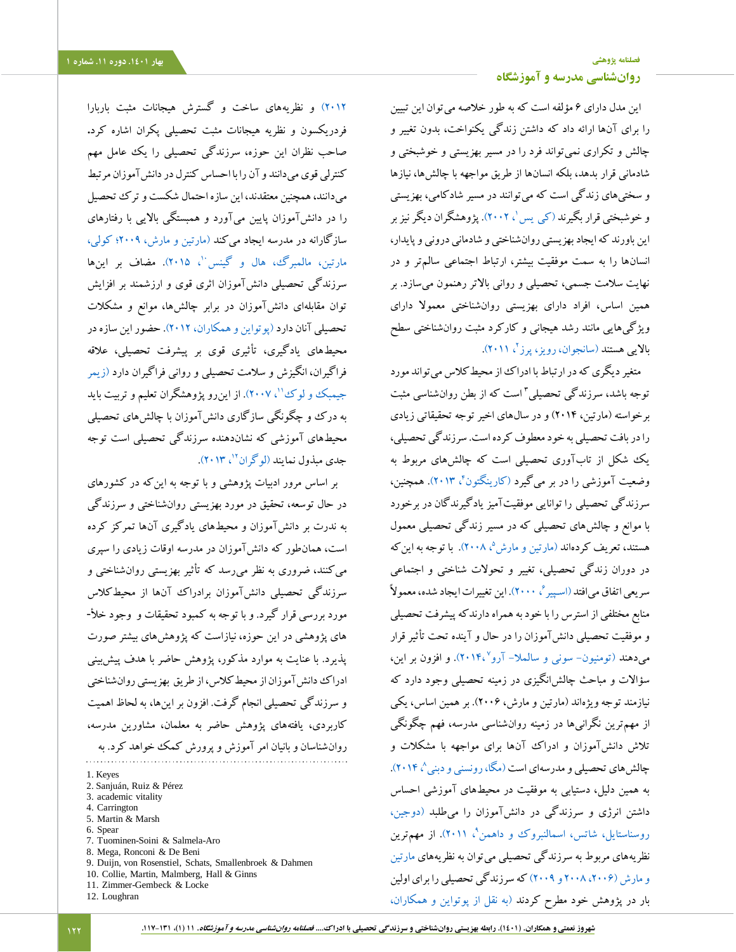این مدل دارای 6 مؤلفه است که به طور خالصه میتوان این تبیین را برای آنها ارائه داد که داشتن زندگی یکنواخت، بدون تغییر و چالش و تکراری نمیتواند فرد را در مسیر بهزیستی و خوشبختی و شادمانی قرار بدهد، بلکه انسانها از طریق مواجهه با چالشها، نیازها و سختیهای زندگی است که میتوانند در مسیر شادکامی، بهزیستی و خوشبختی قرار بگیرند (ک<sub>ی</sub> یس<sup>'</sup>، ۲۰۰۲). پژوهشگران دیگر نیز بر این باورند که ایجاد بهزیستی روانشناختی و شادمانی درونی و پایدار، انسانها را به سمت موفقیت بیشتر، ارتباط اجتماعی سالمتر و در نهایت سالمت جسمی، تحصیلی و روانی باالتر رهنمون میسازد. بر همین اساس، افراد دارای بهزیستی روانشناختی معموال دارای ویژگیهایی مانند رشد هیجانی و کارکرد مثبت روانشناختی سطح بالایی هستند (سانجوان، رویز، پرز<sup>م</sup>، ۲۰۱۱).

متغیر دیگری که در ارتباط با ادراک از محیطکالس میتواند مورد 3 توجه باشد، سرزندگی تحصیلی است که از بطن روانشناسی مثبت برخواسته )مارتین، 2014( و در سالهای اخیر توجه تحقیقاتی زیادی را در بافت تحصیلی به خود معطوف کرده است. سرزندگی تحصیلی، یک شکل از تابآوری تحصیلی است که چالشهای مربوط به وضعیت آموزشی را در بر میگیرد (کارینگتون<sup>۴</sup>، ۲۰۱۳). همچنین، سرزندگی تحصیلی را توانایی موفقیتآمیز یادگیرندگان در برخورد با موانع و چالشهای تحصیلی که در مسیر زندگی تحصیلی معمول هستند، تعریف کردهاند (مارتین و مارش<sup>۵</sup>، ۲۰۰۸). با توجه به اینکه در دوران زندگی تحصیلی، تغییر و تحوالت شناختی و اجتماعی سریعی اتفاق می|فتد (اسپیر $^3$ ، ۲۰۰۰). این تغییرات ایجاد شده، معمولاً منابع مختلفی از استرس را با خود به همراه دارندکه پیشرفت تحصیلی و موفقیت تحصیلی دانشآموزان را در حال و آینده تحت تأثیر قرار میدهند (تومنیون– سونی و سالملا– آرو° ،۲۰۱۴). و افزون بر این، سؤاالت و مباحث چالشانگیزی در زمینه تحصیلی وجود دارد که نیازمند توجه ویژهاند )مارتین و مارش، 2006(. بر همین اساس، یکی از مهمترین نگرانیها در زمینه روانشناسی مدرسه، فهم چگونگی تالش دانشآموزان و ادراک آنها برای مواجهه با مشکالت و چالش های تحصیلی و مدرسهای است (مگا، رونسنی و دبنی^، ۲۰۱۴). به همین دلیل، دستیابی به موفقیت در محیطهای آموزشی احساس داشتن انرژی و سرزندگی در دانشآموزان را میطلبد [\)دوجین،](#page-12-11)  [روسناستایل، شاتس، اسمالنبروک و داهمن](#page-12-11)<sup>۹</sup>، ۲۰۱۱). از مهمترین نظریههای مربوط به سرزندگی تحصیلی میتوان به نظریههای [مارتین](#page-13-11)  [و مارش \)،2006 2008](#page-13-11) و 2009( که سرزندگی تحصیلی را برای اولین بار در پژوهش خود مطرح کردند [\)به نقل از پوتواین و همکاران،](#page-13-12) 

[2012\(](#page-13-12) و نظریههای ساخت و گسترش هیجانات مثبت باربارا فردریکسون و نظریه هیجانات مثبت تحصیلی پکران اشاره کرد**.**  صاحب نظران این حوزه، سرزندگی تحصیلی را یک عامل مهم کنترلی قوی میدانند و آن را با احساس کنترل در دانشآموزان مرتبط میدانند، همچنین معتقدند، این سازه احتمال شکست و ترک تحصیل را در دانشآموزان پایین میآورد و همبستگی باالیی با رفتارهای سازگارانه در مدرسه ایجاد میکند [\)مارتین و مارش، 2009؛ کولی،](#page-12-12)  [مارتین، مالمبرگ، هال و گینس](#page-12-12)<sup>. (</sup>، ۲۰۱۵). مضاف بر اینها سرزندگی تحصیلی دانشآموزان اثری قوی و ارزشمند بر افزایش توان مقابلهای دانشآموزان در برابر چالشها، موانع و مشکالت تحصیلی آنان دارد )پوتواین [و همکاران، 2012\(.](#page-13-12) حضور این سازه در محیطهای یادگیری، تأثیری قوی بر پیشرفت تحصیلی، عالقه فراگیران، انگیزش و سالمت تحصیلی و روانی فراگیران دار[د \)زیمر](#page-14-6)  [جیمبک و لوک](#page-14-6)''، ۲۰۰۷). از این رو پژوهشگران تعلیم و تربیت باید به درک و چگونگی سازگاری دانشآموزان با چالشهای تحصیلی محیطهای آموزشی که نشاندهنده سرزندگی تحصیلی است توجه جدی مبذول نمایند (لوگران<sup>۱۲</sup>، ۲۰۱۳).

بر اساس مرور ادبیات پژوهشی و با توجه به اینکه در کشورهای در حال توسعه، تحقیق در مورد بهزیستی روانشناختی و سرزندگی به ندرت بر دانشآموزان و محیطهای یادگیری آنها تمرکز کرده است، همانطور که دانشآموزان در مدرسه اوقات زیادی را سپری میکنند، ضروری به نظر میرسد که تأثیر بهزیستی روانشناختی و سرزندگی تحصیلی دانشآموزان برادراک آنها از محیطکالس مورد بررسی قرار گیرد. و با توجه به کمبود تحقیقات و وجود خأل- های پژوهشی در این حوزه، نیازاست که پژوهشهای بیشتر صورت پذیرد. با عنایت به موارد مذکور، پژوهش حاضر با هدف پیشبینی ادراک دانشآموزان از محیطکالس، از طریق بهزیستی روانشناختی و سرزندگی تحصیلی انجام گرفت. افزون بر اینها، به لحاظ اهمیت کاربردی، یافتههای پژوهش حاضر به معلمان، مشاورین مدرسه، روانشناسان و بانیان امر آموزش و پرورش کمک خواهد کرد. به

1. Keyes 2. Sanjuán, Ruiz & Pérez 3. academic vitality 4. Carrington 5. Martin & Marsh 6. Spear 7. Tuominen-Soini & Salmela-Aro 8. Mega, Ronconi & De Beni 9. Duijn, von Rosenstiel, Schats, Smallenbroek & Dahmen 10. Collie, Martin, Malmberg, Hall & Ginns 11. Zimmer-Gembeck & Locke 12. Loughran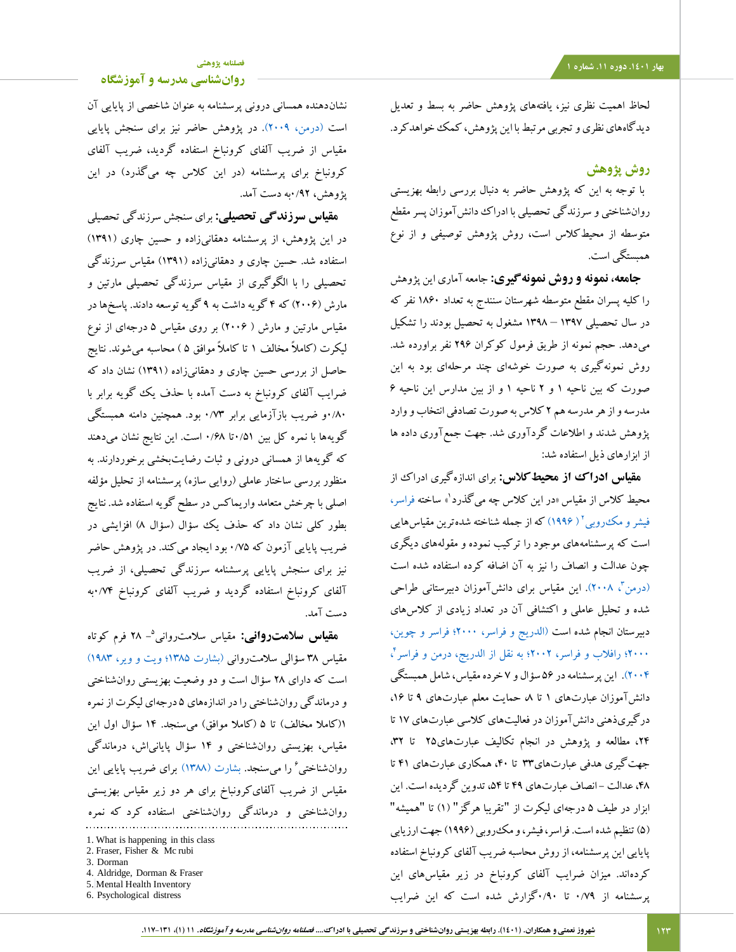# **[فصلنامه پژوهشی](http://jsp.uma.ac.ir/)**

**[روانشناسی مدرسه و آموزشگاه](http://jsp.uma.ac.ir/)**

لحاظ اهمیت نظری نیز، یافتههای پژوهش حاضر به بسط و تعدیل دیدگاههای نظری و تجربی مرتبط با این پژوهش، کمک خواهدکرد.

## **روش پژوهش**

 با توجه به این که پژوهش حاضر به دنبال بررسی رابطه بهزیستی روانشناختی و سرزندگی تحصیلی با ادراک دانشآموزان پسر مقطع متوسطه از محیطکالس است، روش پژوهش توصیفی و از نوع همبستگی است.

 **جامعه، نمونه و روش نمونهگیری:** جامعه آماری این پژوهش را کلیه پسران مقطع متوسطه شهرستان سنندج به تعداد 1860 نفر که در سال تحصیلی 1397 – 1398 مشغول به تحصیل بودند را تشکیل میدهد. حجم نمونه از طریق فرمول کوکران 296 نفر براورده شد. روش نمونهگیری به صورت خوشهای چند مرحلهای بود به این صورت که بین ناحیه 1 و 2 ناحیه 1 و از بین مدارس این ناحیه 6 مدرسه و از هر مدرسه هم 2 کالس به صورت تصادفی انتخاب و وارد پژوهش شدند و اطالعات گردآوری شد. جهت جمعآوری داده ها از ابزارهای ذیل استفاده شد:

**مقیاس ادراک از محیطکالس:** برای اندازهگیری ادراک از محیط کلاس از مقیاس «در این کلاس چه میگذرد<sup>۹</sup> ساخته فراسر، فیشر و مکدروبی<sup>۲</sup> ( ۱۹۹۶) که از جمله شناخته شده ترین مقیاسهایی است که پرسشنامههای موجود را ترکیب نموده و مقولههای دیگری چون عدالت و انصاف را نیز به آن اضافه کرده استفاده شده است (درمن<sup>۳</sup>، ۲۰۰۸). این مقیاس برای دانشآموزان دبیرستانی طراحی شده و تحلیل عاملی و اکتشافی آن در تعداد زیادی از کالسهای دبیرستان انجام شده است [\)الدریج و فراسر، 2000؛ فراسر و چوین،](#page-11-3)  4 [2000؛ رافالب و فراسر، 2002؛ به نقل از الدریج، درمن و فراسر](#page-11-3) ، [2004\(.](#page-11-3) این پرسشنامه در 56 سؤال و 7 خرده مقیاس، شامل همبستگی دانش آموزان عبارتهای ۱ تا ۸ حمایت معلم عبارتهای ۹ تا ۱۶، درگیریذهنی دانشآموزان در فعالیتهای کالسی عبارتهای 17 تا ،24 مطالعه و پژوهش در انجام تکالیف عبارتهای25 تا ،32 جهتگیری هدفی عبارتهای33 تا ،40 همکاری عبارتهای 41 تا ۴۸، عدالت - انصاف عبارتهای ۴۹ تا ۵۴، تدوین گردیده است. این ابزار در طیف ۵ درجهای لیکرت از "تقریبا هرگز" (۱) تا "همیشه" )5( تنظیم شده است. فراسر، فیشر، و مکروبی )1996( جهت ارزیابی پایایی این پرسشنامه، از روش محاسبه ضریب آلفای کرونباخ استفاده کردهاند. میزان ضرایب آلفای کرونباخ در زیر مقیاسهای این پرسشنامه از 0/79 تا 0/90گزارش شده است که این ضرایب

نشاندهنده همسانی درونی پرسشنامه به عنوان شاخصی از پایایی آن است [\)درمن، 2009\(.](#page-12-14) در پژوهش حاضر نیز برای سنجش پایایی مقیاس از ضریب آلفای کرونباخ استفاده گردید، ضریب آلفای کرونباخ برای پرسشنامه (در این کلاس چه میگذرد) در این پژوهش، 0/92به دست آمد.

**مقیاس سرزندگی تحصیلی:** برای سنجش سرزندگی تحصیلی در این پژوهش، از پرسشنامه دهقانیزاده و حسین چاری )1391( استفاده شد. حسین چاری و دهقانیزاده )1391( مقیاس سرزندگی تحصیلی را با الگوگیری از مقیاس سرزندگی تحصیلی مارتین و مارش )2006( که 4 گویه داشت به 9 گویه توسعه دادند. پاسخها در مقیاس مارتین و مارش ) 2006( بر روی مقیاس 5 درجهای از نوع لیکرت )کامالً مخالف 1 تا کامالً موافق 5 ( محاسبه میشوند. نتایج حاصل از بررسی حسین چاری و دهقانیزاده )1391( نشان داد که ضرایب آلفای کرونباخ به دست آمده با حذف یک گویه برابر با 0/80و ضریب بازآزمایی برابر 0/73 بود. همچنین دامنه همبستگی گویهها با نمره کل بین 0/51تا 0/68 است. این نتایج نشان میدهند که گویهها از همسانی درونی و ثبات رضایتبخشی برخوردارند. به منظور بررسی ساختار عاملی (روایی سازه) پرسشنامه از تحلیل مؤلفه اصلی با چرخش متعامد واریماکس در سطح گویه استفاده شد. نتایج بطور کلی نشان داد که حذف یک سؤال (سؤال ۸) افزایشی در ضریب پایایی آزمون که 0/75 بود ایجاد میکند. در پژوهش حاضر نیز برای سنجش پایایی پرسشنامه سرزندگی تحصیلی، از ضریب آلفای کرونباخ استفاده گردید و ضریب آلفای کرونباخ 0/74به دست آمد.

5 **مقیاس سالمتروانی:** مقیاس سالمتروانی - 28 فرم کوتاه مقیاس 38 سؤالی سالمتروانی [\)بشارت 1385؛ ویت و ویر، 1983\(](#page-11-4) است که دارای 28 سؤال است و دو وضعیت بهزیستی روانشناختی و درماندگی روانشناختی را در اندازههای 5 درجهای لیکرت از نمره 1(کاملا مخالف) تا ۵ (کاملا موافق) می سنجد. ۱۴ سؤال اول این مقیاس، بهزیستی روانشناختی و 14 سؤال پایانیاش، درماندگی روانشناختی<sup>۶</sup> را میسنجد. بشارت (۱۳۸۸) برای ضریب پایایی این مقیاس از ضریب آلفایکرونباخ برای هر دو زیر مقیاس بهزیستی روانشناختی و درماندگی روانشناختی استفاده کرد که نمره

- 3. Dorman
- 4. Aldridge, Dorman & Fraser
- 5. Mental Health Inventory

<sup>1.</sup> What is happening in this class

<sup>2.</sup> Fraser, Fisher & Mc rubi

<sup>6.</sup> Psychological distress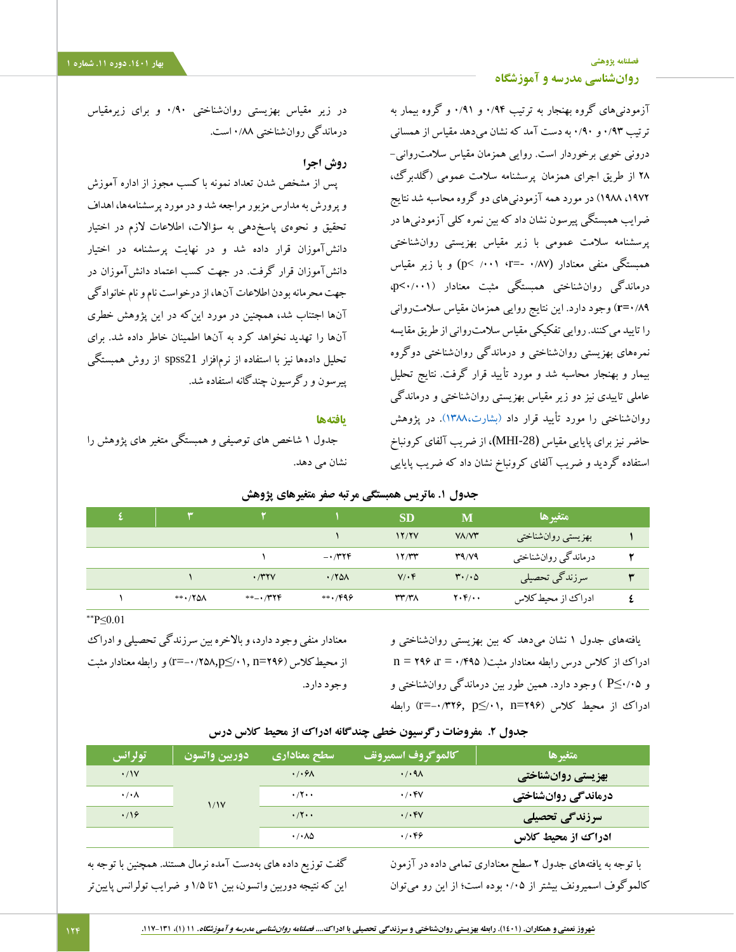# **[فصلنامه پژوهشی](http://jsp.uma.ac.ir/) بهار .1401 دوره .11 شماره 1 [روانشناسی مدرسه و آموزشگاه](http://jsp.uma.ac.ir/)**

آزمودنیهای گروه بهنجار به ترتیب 0/94 و 0/91 و گروه بیمار به ترتیب 0/93 و 0/90 به دست آمد که نشان میدهد مقیاس ازهمسانی درونی خوبی برخوردار است. روایی همزمان مقیاس سالمتروانی- 28 از طریق اجرای همزمان پرسشنامه سالمت عمومی )گلدبرگ، ،1972 1988( در مورد همه آزمودنیهای دو گروه محاسبه شد نتایج ضرایب همبستگی پیرسون نشان داد که بین نمره کلی آزمودنیها در پرسشنامه سالمت عمومی با زیر مقیاس بهزیستی روانشناختی همبستگی منفی معنادار (0/87 -=r**،** /001<sup>&</sup>lt; <sup>p</sup> (و با زیر مقیاس درماندگی روانشناختی همبستگی مثبت معنادار )0/001**>**p، 0/89**=r** )وجود دارد. این نتایج روایی همزمان مقیاس سالمتروانی را تایید میکنند. روایی تفکیکی مقیاس سالمتروانی از طریق مقایسه نمرههای بهزیستی روانشناختی و درماندگی روانشناختی دوگروه بیمار و بهنجار محاسبه شد و مورد تأیید قرار گرفت. نتایج تحلیل عاملی تاییدی نیز دو زیر مقیاس بهزیستی روانشناختی و درماندگی روان شناختی را مورد تأیید قرار داد (بشارت،۱۳۸۸). در پژوهش حاضر نیز برای پایایی مقیاس **)**-28MHI**)**، از ضریب آلفای کرونباخ استفاده گردید و ضریب آلفای کرونباخ نشان داد که ضریب پایایی

در زیر مقیاس بهزیستی روانشناختی 0/90 و برای زیرمقیاس درماندگی روانشناختی 0/88 است.

# **روش اجرا**

پس از مشخص شدن تعداد نمونه با کسب مجوز از اداره آموزش و پرورش به مدارس مزبور مراجعه شد و در مورد پرسشنامهها، اهداف تحقیق و نحوهی پاسخدهی به سؤاالت، اطالعات الزم در اختیار دانشآموزان قرار داده شد و در نهایت پرسشنامه در اختیار دانشآموزان قرار گرفت. در جهت کسب اعتماد دانشآموزان در جهت محرمانه بودن اطالعات آنها، از درخواست نام و نام خانوادگی آنها اجتناب شد، همچنین در مورد اینکه در این پژوهش خطری آنها را تهدید نخواهد کرد به آنها اطمینان خاطر داده شد. برای تحلیل دادهها نیز با استفاده از نرمافزار 21spss از روش همبستگی پیرسون و رگرسیون چندگانه استفاده شد.

## **یافتهها**

**جدول .1 ماتریس همبستگی مرتبه صفر متغیرهای پژوهش**

جدول 1 شاخص های توصیفی و همبستگی متغیر های پژوهش را نشان می دهد.

| جدوں  مأتريس همبستني مرتبة صفر متغيرهاي پروهس |             |                |                |             |                               |                     |   |  |
|-----------------------------------------------|-------------|----------------|----------------|-------------|-------------------------------|---------------------|---|--|
|                                               |             |                |                | <b>SD</b>   | M                             | متغيرها             |   |  |
|                                               |             |                |                | 17/7V       | VA/V                          | بهزيستي روانشناختي  |   |  |
|                                               |             |                | $-1/TYF$       | 17/TT       | T9/Y9                         | درماندگي روانشناختي | ۲ |  |
|                                               |             | .741V          | .780           | $V/\cdot f$ | $\mathbf{r} \cdot \mathbf{0}$ | سرزندگی تحصیلی      | ٣ |  |
|                                               | $***$ / YOA | $***$ $+$ /۳۲۴ | $***$ , $/999$ | ۳۳/۳۸       | $Y \cdot Y / \cdot \cdot$     | ادراك از محيط كلاس  |   |  |

\*\*P≤0.01

معنادار منفی وجود دارد، و باالخره بین سرزندگی تحصیلی و ادراک از محیطکالس )296=n /01,≤p-0/258,=r )و رابطه معنادار مثبت وجود دارد.

یافتههای جدول 1 نشان میدهد که بین بهزیستی روانشناختی و  $n = 199$   $r = \sqrt{990}$  ادراک از کلاس درس رابطه معنادار مثبت( ۶۹۵ = ۲ و 0/05≥P ) وجود دارد. همین طور بین درماندگی روانشناختی و ادراک از محیط کلاس (194=r=−1,۳۲۶, p -0/3) رابطه

## **جدول .2 مفروضات رگرسیون خطی چندگانه ادراک از محیط کالس درس**

| <b>رتولرانس ا</b>    | دوريين وأتسون | سطح معناداري                 | كالموكروف اسميرونف ا            | متغبرها             |
|----------------------|---------------|------------------------------|---------------------------------|---------------------|
| $\cdot$ / $\gamma$   | 1/1V          | $\cdot$ / $\cdot$ $\theta$   | $\cdot$ / $\cdot$ 91            | بهزیستی روانشناختی  |
| $\cdot/\cdot \wedge$ |               | $\cdot$ /۲ $\cdot$           | $\cdot$ / $\cdot$ ۴۷            | درماندگی روانشناختی |
| .19                  |               | $\cdot$ /۲ $\cdot$           | $\cdot$ / $\cdot$ $\mathsf{FV}$ | سرزندگی تحصیلی      |
|                      |               | $\cdot$ / $\cdot$ / $\Delta$ | .7.89                           | ادراک از محیط کلاس  |

گفت توزیع داده های بهدست آمده نرمال هستند. همچنین با توجه به این که نتیجه دوربین واتسون، بین 1تا 1/5 و ضرایب تولرانس پایینتر با توجه به یافتههای جدول 2 سطح معناداری تمامی داده در آزمون کالموگوف اسمیرونف بیشتر از 0/05 بوده است؛ از این رو میتوان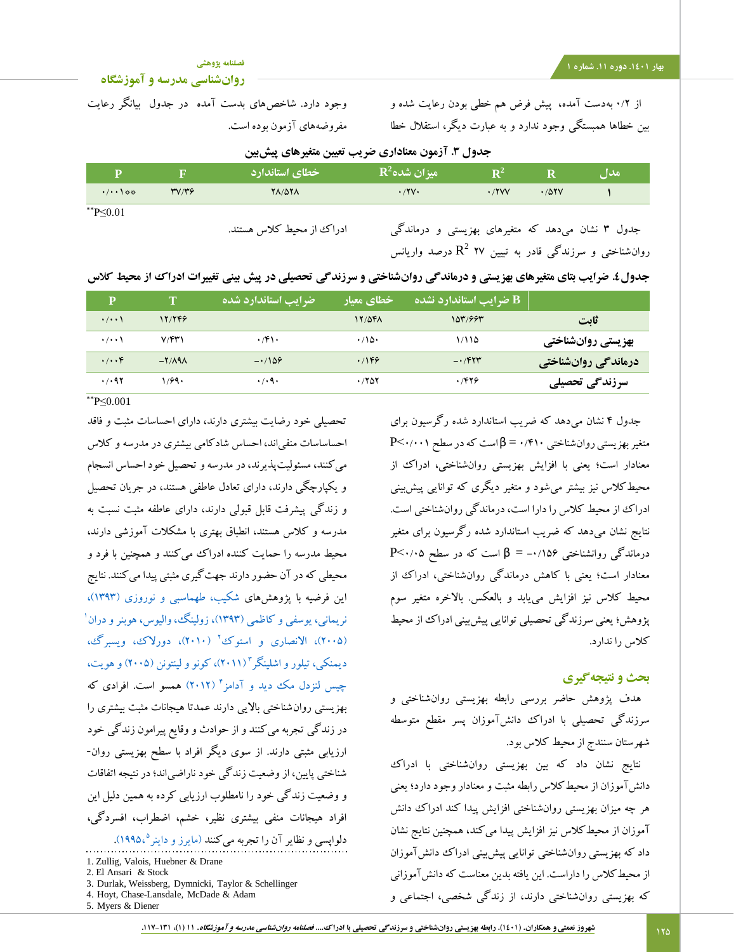## **[فصلنامه پژوهشی](http://jsp.uma.ac.ir/)**

# **[روانشناسی مدرسه و آموزشگاه](http://jsp.uma.ac.ir/)**

از 0/2 بهدست آمده، پیش فرض هم خطی بودن رعایت شده و بین خطاها همبستگی وجود ندارد و به عبارت دیگر، استقالل خطا

وجود دارد. شاخصهای بدست آمده در جدول بیانگر رعایت مفروضههای آزمون بوده است.

**جدول .3 آزمون معناداری ضریب تعیین متغیرهای پیشبین**

| p        |              | خطاي استاندارد            | $\mathbf{R}^2$ میز ان شده                        | ${\bf R}^2$ |       | مدا ، |
|----------|--------------|---------------------------|--------------------------------------------------|-------------|-------|-------|
| •/••\※※  | <b>٣٧/٣۶</b> | <b>YA/07A</b>             | $\cdot$ /۲ $\vee$                                | .7YVV       | .701V |       |
| **P<0.01 |              |                           |                                                  |             |       |       |
|          |              | ادراک از محیط کلاس هستند. | جدول ۳ نشان میدهد که متغیرهای بهزیستی و درماندگی |             |       |       |

جدول 3 نشان میدهد که متغیرهای بهزیستی و درماندگی 2 روانشناختی و سرزندگی قادر به تبیین 27 R درصد واریانس

|  |  |  |  |  |  | جدول£. ضرایب بتای متغیرهای بهزیستی و درماندگی روانشناختی و سرزندگی تحصیلی در پیش بینی تغییرات ادراک از محیط کلاس |  |  |
|--|--|--|--|--|--|------------------------------------------------------------------------------------------------------------------|--|--|
|--|--|--|--|--|--|------------------------------------------------------------------------------------------------------------------|--|--|

| P                    | T       | <b>رضرایب استاندارد شده</b> | خطاي معيار  | <b>B ضرایب استاندارد نشده</b> ا |                     |
|----------------------|---------|-----------------------------|-------------|---------------------------------|---------------------|
| $\cdot/\cdot\cdot$   | 17/749  |                             | 17/5FA      | 107/997                         | ثابت                |
| $\cdot$ / $\cdot$    | V/FY    | $\cdot$ /۴۱۰                | $\cdot$ 10. | ۱٬۱۱۵                           | بهزیستی روانشناختی  |
| $\cdot/\cdot\cdot f$ | $-Y/AA$ | $-1109$                     | .199        | $-1$ $\mathcal{F}$              | درماندگی روانشناختی |
| .7.97                | ۱٬۶۹۰   | $\cdot$ / $\cdot$ 9 $\cdot$ | .7807       | .7899                           | سرزندگی تحصیلی      |

\*\*P≤0.001

تحصیلی خود رضایت بیشتری دارند، دارای احساسات مثبت و فاقد احساساسات منفیاند، احساس شادکامی بیشتری در مدرسه و کالس میکنند، مسئولیتپذیرند، در مدرسه و تحصیل خود احساس انسجام و یکپارچگی دارند، دارای تعادل عاطفی هستند، در جریان تحصیل و زندگی پیشرفت قابل قبولی دارند، دارای عاطفه مثبت نسبت به مدرسه و کالس هستند، انطباق بهتری با مشکالت آموزشی دارند، محیط مدرسه را حمایت کننده ادراک می کنند و همچنین با فرد و محیطی که در آن حضور دارند جهتگیری مثبتی پیدا میکنند. نتایج این فرضیه با پژوهشهای [شکیب، طهماسبی و نوروزی \)1393\(،](#page-11-5) 1 [نریمانی، یوسفی و کاظمی \)1393\(،](#page-11-6) [زولینگ، والیوس، هوبنر و دران](#page-14-7) (۲۰۰۵)، الانصاری و استوک' (۲۰۱۰)، دورلاک، ویسبرگ، [دیمنکی، تیلور و اشلینگر](#page-12-15)" (۲۰۱۱)، کونو و لینتونن (۲۰۰۵) و هویت، چیس لنزدل مک دید و آدامز<sup>۴</sup> (۲۰۱۲) همسو است. افرادی که بهزیستی روانشناختی باالیی دارند عمدتا هیجانات مثبت بیشتری را در زندگی تجربه میکنند و از حوادث و وقایع پیرامون زندگی خود ارزیابی مثبتی دارند. از سوی دیگر افراد با سطح بهزیستی روان- شناختی پایین، از وضعیت زندگی خود ناراضیاند؛ در نتیجه اتفاقات و وضعیت زندگی خود را نامطلوب ارزیابی کرده به همین دلیل این افراد هیجانات منفی بیشتری نظیر، خشم، اضطراب، افسردگی، دلواپسی و نظایر آن را تجربه میکنند (مایرز و داینر°،۱۹۹۵).

5. Myers & Diener

جدول 4 نشان میدهد که ضریب استاندارد شده رگرسیون برای  $P<\cdot/\cdot\cdot$ ۱ متغیر بهزیستی روان شناختی ۴۱۰ $\beta = \gamma$ است که در سطح ۱ معنادار است؛ یعنی با افزایش بهزیستی روانشناختی، ادراک از محیطکالس نیز بیشتر میشود و متغیر دیگری که توانایی پیشبینی ادراک از محیط کالس را دارا است، درماندگی روانشناختی است. نتایج نشان میدهد که ضریب استاندارد شده رگرسیون برای متغیر  $P<\cdots$ درماندگی روانشناختی ۱۵۶ $\beta = -1$  است که در سطح  $\zeta$ ۰/۱ معنادار است؛ یعنی با کاهش درماندگی روانشناختی، ادراک از محیط کالس نیز افزایش مییابد و بالعکس. باالخره متغیر سوم پژوهش؛ یعنی سرزندگی تحصیلی توانایی پیشبینی ادراک از محیط کالس را ندارد.

## **بحث و نتیجهگیری**

هدف پژوهش حاضر بررسی رابطه بهزیستی روانشناختی و سرزندگی تحصیلی با ادراک دانشآموزان پسر مقطع متوسطه شهرستان سنندج از محیط کالس بود.

نتایج نشان داد که بین بهزیستی روانشناختی با ادراک دانشآموزان از محیطکالس رابطه مثبت و معنادار وجود دارد؛ یعنی هر چه میزان بهزیستی روانشناختی افزایش پیدا کند ادراک دانش آموزان از محیطکالس نیز افزایش پیدا میکند، همچنین نتایج نشان داد که بهزیستی روانشناختی توانایی پیشبینی ادراک دانشآموزان از محیطکالس را داراست. این یافته بدین معناست که دانشآموزانی که بهزیستی روانشناختی دارند، از زندگی شخصی، اجتماعی و

<sup>1.</sup> Zullig, Valois, Huebner & Drane

<sup>2.</sup> El Ansari & Stock

<sup>3.</sup> Durlak, Weissberg, Dymnicki, Taylor & Schellinger

<sup>4.</sup> Hoyt, Chase-Lansdale, McDade & Adam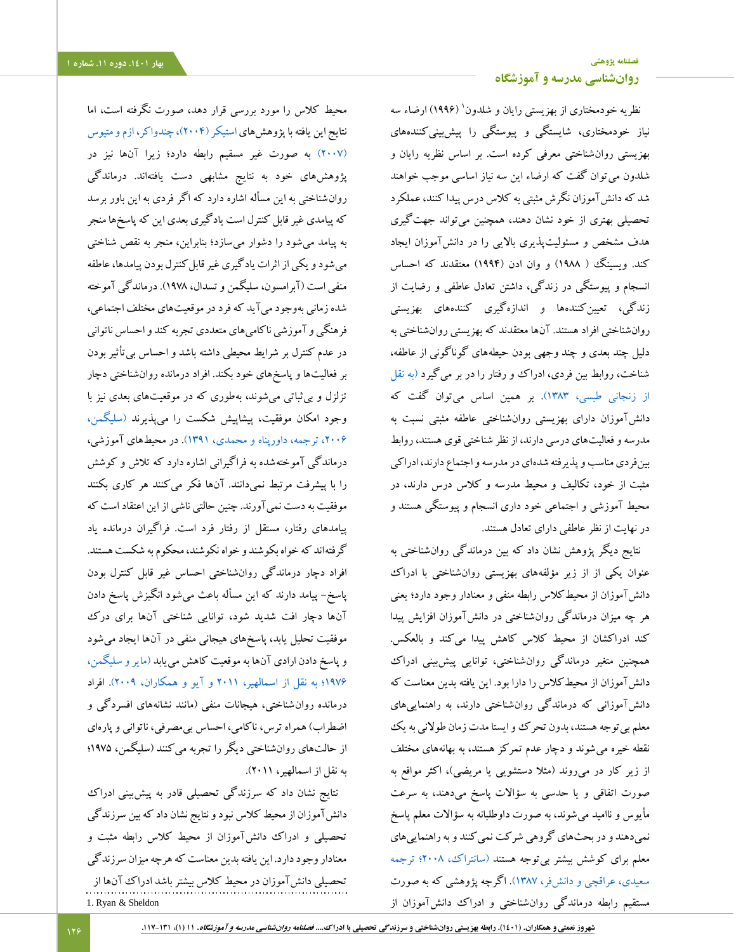j

محیط کالس را مورد بررسی قرار دهد، صورت نگرفته است، اما نتایج این یافته با پژوهش های استیکر (۲۰۰۴)، چندواکر، ازم و متیوس [\)2007\(](#page-12-17) به صورت غیر مسقیم رابطه دارد؛ زیرا آنها نیز در پژوهشهای خود به نتایج مشابهی دست یافتهاند. درماندگی روانشناختی به این مسأله اشاره دارد که اگر فردی به این باور برسد که پیامدی غیر قابل کنترل است یادگیری بعدی این که پاسخها منجر به پیامد میشود را دشوار میسازد؛ بنابراین، منجر به نقص شناختی میشود و یکی از اثرات یادگیری غیر قابلکنترل بودن پیامدها، عاطفه منفی است )آبرامسون، سلیگمن و تسدال، 1978(. درماندگی آموخته شده زمانی بهوجود میآید که فرد در موقعیتهای مختلف اجتماعی، فرهنگی و آموزشی ناکامیهای متعددی تجربه کند و احساس ناتوانی در عدم کنترل بر شرایط محیطی داشته باشد و احساس بیتأثیر بودن بر فعالیتها و پاسخهای خود بکند. افراد درمانده روانشناختی دچار تزلزل و بیثباتی میشوند، بهطوری که در موقعیتهای بعدی نیز با وجود امکان موفقیت، پیشاپیش شکست را میپذیرند [\)سلیگمن،](#page-11-9)  [،2006 ترجمه، داورپناه و محمدی، 1391\(.](#page-11-9) در محیطهای آموزشی، درماندگی آموختهشده به فراگیرانی اشاره دارد که تالش و کوشش را با پیشرفت مرتبط نمیدانند. آنها فکر میکنند هر کاری بکنند موفقیت به دست نمیآورند. چنین حالتی ناشی از این اعتقاد است که پیامدهای رفتار، مستقل از رفتار فرد است. فراگیران درمانده یاد گرفتهاند که خواه بکوشند و خواه نکوشند، محکوم به شکست هستند. افراد دچار درماندگی روانشناختی احساس غیر قابل کنترل بودن پاسخ- پیامد دارند که این مسأله باعث میشود انگیزش پاسخ دادن آنها دچار افت شدید شود، توانایی شناختی آنها برای درک موفقیت تحلیل یابد، پاسخهای هیجانی منفی در آنها ایجاد میشود و پاسخ دادن ارادی آنها به موقعیت کاهش مییابد [\)مایر و سلیگمن،](#page-11-10)  [1976؛ به نقل از اسمالهیر، 2011](#page-11-10) و آیو و همکاران، 2009(. افراد درمانده روانشناختی، هیجانات منفی )مانند نشانههای افسردگی و اضطراب) همراه ترس، ناکامی، احساس بی مصرفی، ناتوانی و پارهای از حالتهای روانشناختی دیگر را تجربه میکنند )سلیگمن، 1975؛ به نقل از اسمالهیر، 2011(.

نتایج نشان داد که سرزندگی تحصیلی قادر به پیشبینی ادراک دانشآموزان از محیط کالس نبود و نتایج نشان داد که بین سرزندگی تحصیلی و ادراک دانشآموزان از محیط کالس رابطه مثبت و معنادار وجود دارد. این یافته بدین معناست که هرچه میزان سرزندگی تحصیلی دانشآموزان در محیط کالس بیشتر باشد ادراک آنها از 1. Ryan & Sheldon

# **[فصلنامه پژوهشی](http://jsp.uma.ac.ir/) [روانشناسی مدرسه و آموزشگاه](http://jsp.uma.ac.ir/)**

نظریه خودمختاری از بهزیستی رایان و شلدون' (۱۹۹۶) ارضاء سه نیاز خودمختاری، شایستگی و پیوستگی را پیشبینیکنندههای بهزیستی روانشناختی معرفی کرده است. بر اساس نظریه رایان و شلدون میتوان گفت که ارضاء این سه نیاز اساسی موجب خواهند شد که دانشآموزان نگرش مثبتی به کالس درس پیدا کنند، عملکرد تحصیلی بهتری از خود نشان دهند، همچنین میتواند جهتگیری هدف مشخص و مسئولیتپذیری باالیی را در دانشآموزان ایجاد کند. ویسینگ ( ۱۹۸۸) و وان ادن (۱۹۹۴) معتقدند که احساس انسجام و پیوستگی در زندگی، داشتن تعادل عاطفی و رضایت از زندگی، تعیینکنندهها و اندازهگیری کنندههای بهزیستی روانشناختی افراد هستند. آنها معتقدند که بهزیستی روانشناختی به دلیل چند بعدی و چند وجهی بودن حیطههای گوناگونی از عاطفه، شناخت، روابط بین فردی، ادراک و رفتار را در بر میگیرد [\)به نقل](#page-11-7)  [از زنجانی طبسی، 1383\(.](#page-11-7) بر همین اساس میتوان گفت که دانشآموزان دارای بهزیستی روانشناختی عاطفه مثبتی نسبت به مدرسه و فعالیتهای درسی دارند، از نظر شناختی قوی هستند، روابط بینفردی مناسب و پذیرفته شدهای در مدرسه و اجتماع دارند، ادراکی مثبت از خود، تکالیف و محیط مدرسه و کالس درس دارند، در محیط آموزشی و اجتماعی خود داری انسجام و پیوستگی هستند و در نهایت از نظر عاطفی دارای تعادل هستند.

نتایج دیگر پژوهش نشان داد که بین درماندگی روانشناختی به عنوان یکی از از زیر مؤلفههای بهزیستی روانشناختی با ادراک دانشآموزان از محیطکالس رابطه منفی و معنادار وجود دارد؛ یعنی هر چه میزان درماندگی روانشناختی در دانشآموزان افزایش پیدا کند ادراکشان از محیط کلاس کاهش پیدا میکند و بالعکس. همچنین متغیر درماندگی روانشناختی، توانایی پیشبینی ادراک دانشآموزان از محیطکالس را دارا بود. این یافته بدین معناست که دانشآموزانی که درماندگی روانشناختی دارند، به راهنماییهای معلم بی توجه هستند، بدون تحرک وو ایستا مدت زمان طولانی به یک نقطه خیره میشوند و دچار عدم تمرکز هستند، به بهانههای مختلف از زیر کار در می روند (مثلا دستشویی یا مریضی)، اکثر مواقع به صورت اتفاقی و یا حدسی به سؤاالت پاسخ میدهند، به سرعت مأیوس و ناامید میشوند، به صورت داوطلبانه به سؤاالت معلم پاسخ نمیدهند و در بحثهای گروهی شرکت نمیکنند و به راهنماییهای معلم برای کوشش بیشتر بیتوجه هستند [\)سانتراک، 2008؛ ترجمه](#page-11-8)  [سعیدی، عراقچی و دانشفر، 1387\(.](#page-11-8) اگرچه پژوهشی که به صورت مستقیم رابطه درماندگی روانشناختی و ادراک دانشآموزان از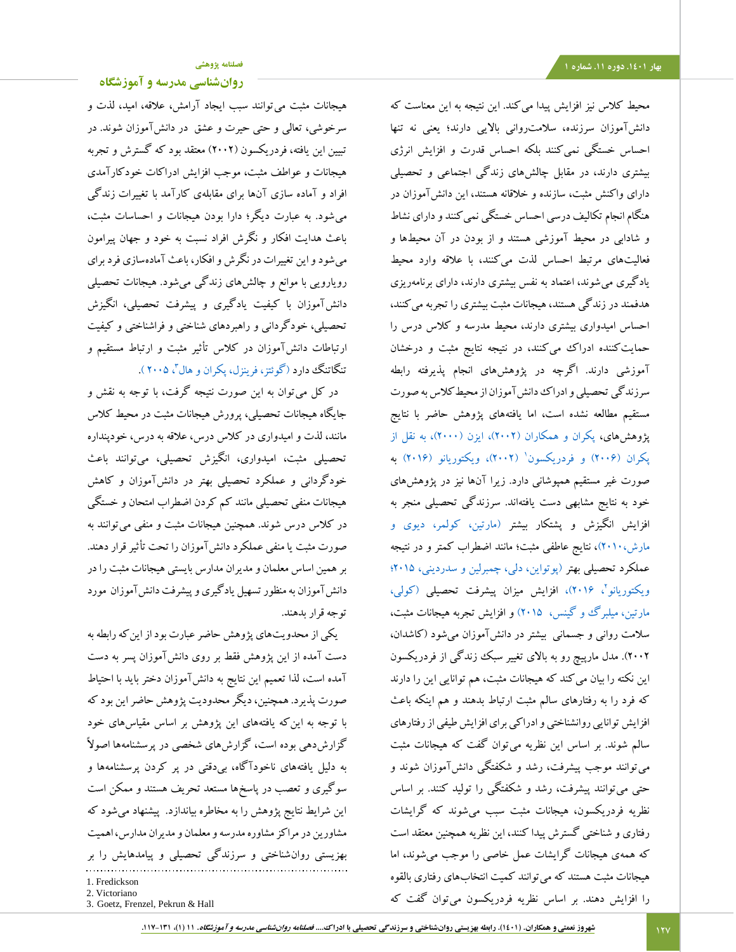محیط کالس نیز افزایش پیدا میکند. این نتیجه به این معناست که دانشآموزان سرزنده، سالمتروانی باالیی دارند؛ یعنی نه تنها احساس خستگی نمیکنند بلکه احساس قدرت و افزایش انرژی بیشتری دارند، در مقابل چالشهای زندگی اجتماعی و تحصیلی دارای واکنش مثبت، سازنده و خالقانه هستند، این دانشآموزان در هنگام انجام تکالیف درسی احساس خستگی نمیکنند و دارای نشاط و شادابی در محیط آموزشی هستند و از بودن در آن محیطها و فعالیتهای مرتبط احساس لذت میکنند، با عالقه وارد محیط یادگیری میشوند، اعتماد به نفس بیشتری دارند، دارای برنامهریزی هدفمند در زندگی هستند، هیجانات مثبت بیشتری را تجربه میکنند، احساس امیدواری بیشتری دارند، محیط مدرسه و کالس درس را حمایتکننده ادراک میکنند، در نتیجه نتایج مثبت و درخشان آموزشی دارند. اگرچه در پژوهشهای انجام پذیرفته رابطه سرزندگی تحصیلی و ادراک دانشآموزان از محیطکالس به صورت مستقیم مطالعه نشده است، اما یافتههای پژوهش حاضر با نتایج پژوهشهای، پکران و همکاران (۲۰۰۲)، ایزن (۲۰۰۰)، به نقل از پکران (۲۰۰۶) و [فردریکسون](#page-12-18)' (۲۰۰۲)، ویکتوریانو (۲۰۱۶) به صورت غیر مستقیم همپوشانی دارد. زیرا آنها نیز در پژوهشهای خود به نتایج مشابهی دست یافتهاند. سرزندگی تحصیلی منجر به افزایش انگیزش و پشتکار بیشتر (مارتین، کولمر، دیوی و [مارش2010،\(،](#page-13-15) نتایج عاطفی مثبت؛ مانند اضطراب کمتر و در نتیجه عملکرد تحصیلی بهتر [\)پوتواین، دلی، چمبرلین و سدردینی، 2015؛](#page-13-16) [ویکتوریانو](#page-14-8)''، ۲۰۱۶)، افزایش میزان پیشرفت تحصیلی (کولی، [مارتین، میلبرگ و گینس، 2015\(](#page-12-12) و افزایش تجربه هیجانات مثبت، سالمت روانی و جسمانی بیشتر در دانشآموزان میشود )کاشدان، 2002(. مدل مارپیچ رو به باالی تغییر سبک زندگی از فردریکسون این نکته را بیان میکند که هیجانات مثبت، هم توانایی این را دارند که فرد را به رفتارهای سالم مثبت ارتباط بدهند و هم اینکه باعث افزایش توانایی روانشناختی و ادراکی برای افزایش طیفی از رفتارهای سالم شوند. بر اساس این نظریه میتوان گفت که هیجانات مثبت میتوانند موجب پیشرفت، رشد و شکفتگی دانشآموزان شوند و حتی میتوانند پیشرفت، رشد و شکفتگی را تولید کنند. بر اساس نظریه فردریکسون، هیجانات مثبت سبب میشوند که گرایشات رفتاری و شناختی گسترش پیدا کنند، این نظریه همچنین معتقد است که همهی هیجانات گرایشات عمل خاصی را موجب میشوند، اما هیجانات مثبت هستند که میتوانند کمیت انتخابهای رفتاری بالقوه را افزایش دهند. بر اساس نظریه فردریکسون میتوان گفت که

**[روانشناسی مدرسه و آموزشگاه](http://jsp.uma.ac.ir/)**

هیجانات مثبت میتوانند سبب ایجاد آرامش، عالقه، امید، لذت و سرخوشی، تعالی و حتی حیرت و عشق در دانشآموزان شوند. در تبیین این یافته، فردریکسون )2002( معتقد بود که گسترش و تجربه هیجانات و عواطف مثبت، موجب افزایش ادراکات خودکارآمدی افراد و آماده سازی آنها برای مقابلهی کارآمد با تغییرات زندگی میشود. به عبارت دیگر؛ دارا بودن هیجانات و احساسات مثبت، باعث هدایت افکار و نگرش افراد نسبت به خود و جهان پیرامون میشود و این تغییرات در نگرش و افکار، باعث آمادهسازی فرد برای رویارویی با موانع و چالشهای زندگی میشود. هیجانات تحصیلی دانشآموزان با کیفیت یادگیری و پیشرفت تحصیلی، انگیزش تحصیلی، خودگردانی و راهبردهای شناختی و فراشناختی و کیفیت ارتباطات دانشآموزان در کالس تأثیر مثبت و ارتباط مستقیم و تنگاتنگ دارد (گوئتز، فرینزل، پکران و هال<sup>۳</sup>، ۲۰۰۵).

در کل میتوان به این صورت نتیجه گرفت، با توجه به نقش و جایگاه هیجانات تحصیلی، پرورش هیجانات مثبت در محیط کالس مانند، لذت و امیدواری در کالس درس، عالقه به درس، خودپنداره تحصیلی مثبت، امیدواری، انگیزش تحصیلی، میتوانند باعث خودگردانی و عملکرد تحصیلی بهتر در دانشآموزان و کاهش هیجانات منفی تحصیلی مانند کم کردن اضطراب امتحان و خستگی در کالس درس شوند. همچنین هیجانات مثبت و منفی میتوانند به صورت مثبت یا منفی عملکرد دانشآموزان را تحت تأثیر قرار دهند. بر همین اساس معلمان و مدیران مدارس بایستی هیجانات مثبت را در دانشآموزان به منظور تسهیل یادگیری و پیشرفت دانشآموزان مورد توجه قرار بدهند.

یکی ازمحدویتهای پژوهش حاضر عبارت بود از اینکه رابطه به دست آمده از این پژوهش فقط بر روی دانشآموزان پسر به دست آمده است، لذا تعمیم این نتایج به دانشآموزان دختر باید با احتیاط صورت پذیرد. همچنین، دیگر محدودیت پژوهش حاضر این بود که با توجه به اینکه یافتههای این پژوهش بر اساس مقیاسهای خود گزارشدهی بوده است، گزارشهای شخصی در پرسشنامهها اصوالً به دلیل یافتههای ناخودآگاه، بیدقتی در پر کردن پرسشنامهها و سوگیری و تعصب در پاسخها مستعد تحریف هستند و ممکن است این شرایط نتایج پژوهش را به مخاطره بیاندازد. پیشنهاد میشود که مشاورین در مراکز مشاوره مدرسه و معلمان و مدیران مدارس، اهمیت بهزیستی روانشناختی و سرزندگی تحصیلی و پیامدهایش را بر 1. Fredickson 2. Victoriano

3. Goetz, Frenzel, Pekrun & Hall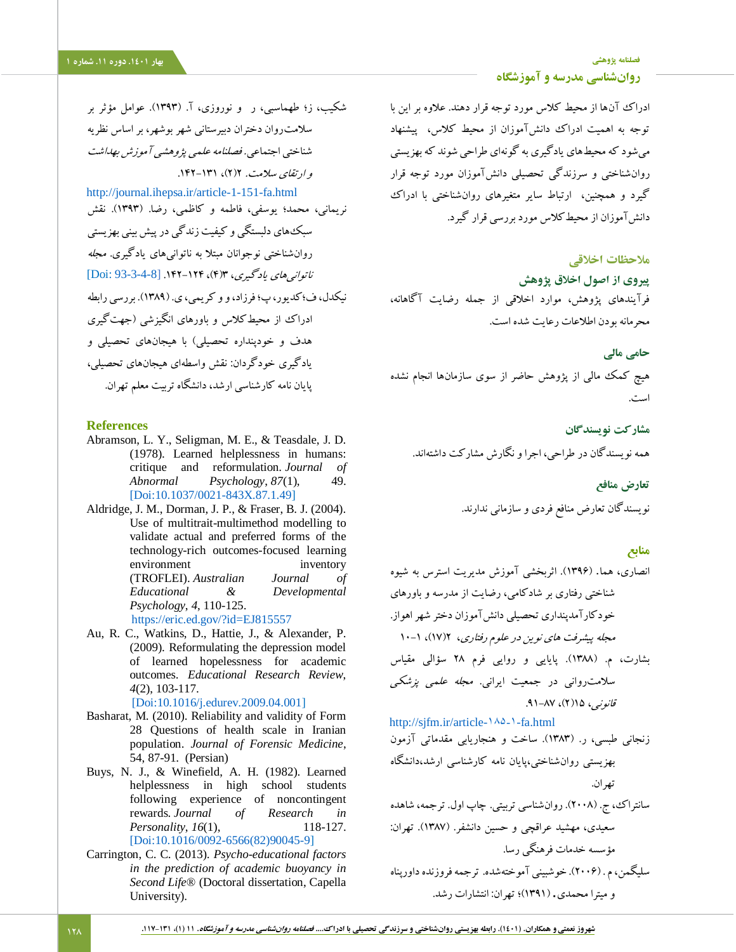- <span id="page-11-5"></span>شکیب، ز؛ طهماسبی، ر و نوروزی، آ. )1393(. عوامل مؤثر بر سالمتروان دختران دبیرستانی شهر بوشهر، بر اساس نظریه شناختی اجتماعی. فصلنامه علمی پژوهشی آموزش بهداشت و ارتقای سلامت. ۲(۲)، ۱۳۱-۱۴۲. <http://journal.ihepsa.ir/article-1-151-fa.html> نریمانی، محمد؛ یوسفی، فاطمه و کاظمی، رضا. )1393(. نقش
- <span id="page-11-6"></span><span id="page-11-1"></span>سبکهای دلبستگی و کیفیت زندگی درپیش بینی بهزیستی روانشناختی نوجوانان مبتال به ناتوانیهای یادگیری. مجله ناتوانیهای یادگیری، 3)4(، .142-124 [\[93-3-4-8 :](93-3-4-8)Doi[ نیکدل، ف؛کدیور، پ؛ فرزاد، و و کریمی، ی. )1389(. بررسی رابطه ادراک از محیطکلاس و باورهای انگیزشی (جهتگیری هدف و خودپنداره تحصیلی( با هیجانهای تحصیلی و یادگیری خودگردان: نقش واسطهای هیجانهای تحصیلی، پایان نامه کارشناسی ارشد، دانشگاه تربیت معلم تهران.

## **References**

- Abramson, L. Y., Seligman, M. E., & Teasdale, J. D. (1978). Learned helplessness in humans: critique and reformulation. *Journal of Abnormal Psychology*, *87*(1), 49. [\[Doi:10.1037/0021-843X.87.1.49\]](https://psycnet.apa.org/doi/10.1037/0021-843X.87.1.49)
- <span id="page-11-3"></span>Aldridge, J. M., Dorman, J. P., & Fraser, B. J. (2004). Use of multitrait-multimethod modelling to validate actual and preferred forms of the technology-rich outcomes-focused learning environment inventory (TROFLEI). *Australian Journal of Educational & Developmental Psychology*, *4*, 110-125. <https://eric.ed.gov/?id=EJ815557>
- <span id="page-11-10"></span>Au, R. C., Watkins, D., Hattie, J., & Alexander, P. (2009). Reformulating the depression model of learned hopelessness for academic outcomes. *Educational Research Review*, *4*(2), 103-117.
- <span id="page-11-0"></span> [\[Doi:10.1016/j.edurev.2009.04.001\]](https://doi.org/10.1016/j.edurev.2009.04.001) Basharat, M. (2010). Reliability and validity of Form 28 Questions of health scale in Iranian population. *Journal of Forensic Medicine*, 54, 87-91. (Persian)
- Buys, N. J., & Winefield, A. H. (1982). Learned helplessness in high school students following experience of noncontingent rewards. *Journal of Research in Personality*, *16*(1), 118-127. [\[Doi:10.1016/0092-6566\(82\)90045-9\]](https://doi.org/10.1016/0092-6566(82)90045-9)
- <span id="page-11-2"></span>Carrington, C. C. (2013). *Psycho-educational factors in the prediction of academic buoyancy in Second Life®* (Doctoral dissertation, Capella University).

**[فصلنامه پژوهشی](http://jsp.uma.ac.ir/) بهار .1401 دوره .11 شماره 1 [روانشناسی مدرسه و آموزشگاه](http://jsp.uma.ac.ir/)**

> ادراک آنها از محیط کالس مورد توجه قرار دهند. عالوه بر این با توجه به اهمیت ادراک دانشآموزان از محیط کالس، پیشنهاد میشود که محیطهای یادگیری به گونهای طراحی شوند که بهزیستی روانشناختی و سرزندگی تحصیلی دانشآموزان مورد توجه قرار گیرد و همچنین، ارتباط سایر متغیرهای روانشناختی با ادراک دانشآموزان از محیطکالس مورد بررسی قرار گیرد.

# **مالحظات اخالقی**

**پیروی از اصول اخالق پژوهش**

فرآیندهای پژوهش، موارد اخالقی از جمله رضایت آگاهانه، محرمانه بودن اطالعات رعایت شده است.

**حامی مالی**

هیچ کمک مالی از پژوهش حاضر از سوی سازمانها انجام نشده است.

**مشارکت نویسندگان** همه نویسندگان در طراحی، اجرا و نگارش مشارکت داشتهاند.

## **تعارض منافع**

نویسندگان تعارض منافع فردی و سازمانی ندارند.

# **منابع**

<span id="page-11-4"></span>انصاری، هما. )1396(. اثربخشی آموزش مدیریت استرس به شیوه شناختی رفتاری بر شادکامی، رضایت از مدرسه و باورهای خودکارآمدپنداری تحصیلی دانشآموزان دختر شهر اهواز. مجله پیشرفت های نوین در علوم رفتاری، 2)17(، 10-1 بشارت، م. )1388(. پایایی و روایی فرم 28 سؤالی مقیاس سالمتروانی در جمعیت ایرانی. مجله علمی پزشکی قانونیر، ۱۵(۲)، ۸۷–۹۱. [http://sjfm.ir/article-۱۸۵-۱-fa.html](http://sjfm.ir/article-1-185-fa.html) زنجانی طبسی، ر. )1383(. ساخت و هنجاریابی مقدماتی آزمون

<span id="page-11-7"></span>بهزیستی روانشناختی،پایان نامه کارشناسی ارشد،دانشگاه تهران.

<span id="page-11-8"></span>سانتراک، ج. )2008(. روانشناسی تربیتی. چاپ اول. ترجمه، شاهده سعیدی، مهشید عراقچی و حسین دانشفر. )1387(. تهران: مؤسسه خدمات فرهنگی رسا. سلیگمن، م . )2006(. خوشبینی آموختهشده. ترجمه فروزنده داورپناه

<span id="page-11-9"></span>و میترا محمدی. )1391(؛ تهران: انتشارات رشد.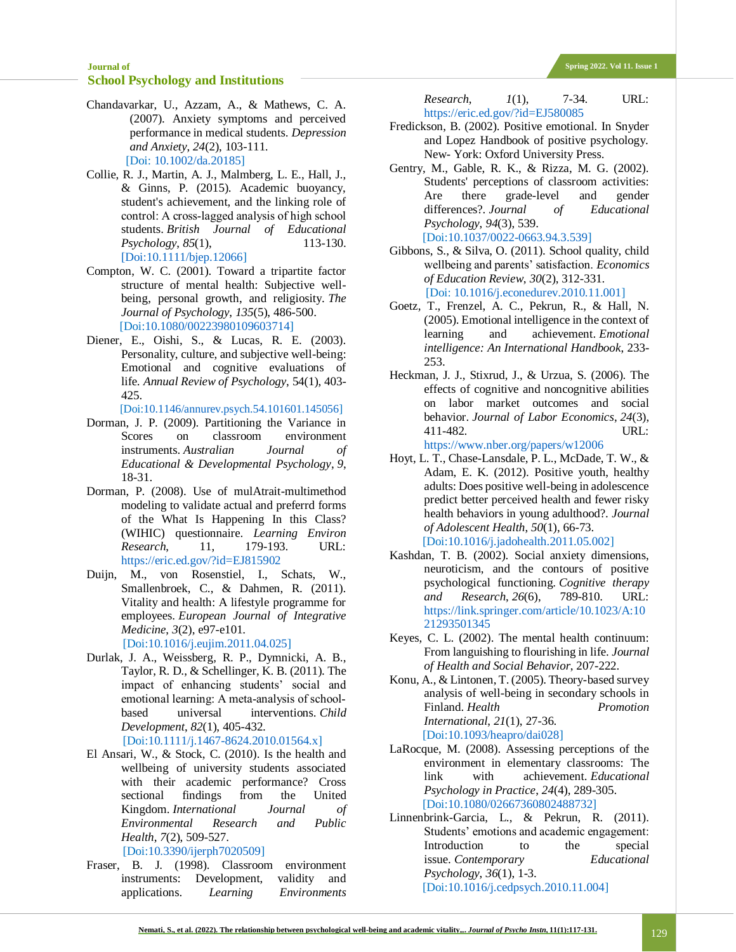- <span id="page-12-17"></span>Chandavarkar, U., Azzam, A., & Mathews, C. A. (2007). Anxiety symptoms and perceived performance in medical students. *Depression and Anxiety*, *24*(2), 103-111. [Doi: [10.1002/da.20185\]](https://doi.org/10.1002/da.20185)
- <span id="page-12-12"></span>Collie, R. J., Martin, A. J., Malmberg, L. E., Hall, J., & Ginns, P. (2015). Academic buoyancy, student's achievement, and the linking role of control: A cross‐lagged analysis of high school students. *British Journal of Educational Psychology*, *85*(1), 113-130. [\[Doi:10.1111/bjep.12066\]](https://doi.org/10.1111/bjep.12066)
- <span id="page-12-9"></span>Compton, W. C. (2001). Toward a tripartite factor structure of mental health: Subjective wellbeing, personal growth, and religiosity. *The Journal of Psychology*, *135*(5), 486-500. [Doi[:10.1080/00223980109603714\]](https://doi.org/10.1080/00223980109603714)
- <span id="page-12-6"></span>Diener, E., Oishi, S., & Lucas, R. E. (2003). Personality, culture, and subjective well-being: Emotional and cognitive evaluations of life. *Annual Review of Psychology*, 54(1), 403- 425.

[Doi[:10.1146/annurev.psych.54.101601.145056\]](https://doi.org/10.1146/annurev.psych.54.101601.145056)

- <span id="page-12-14"></span>Dorman, J. P. (2009). Partitioning the Variance in Scores on classroom environment instruments. *Australian Journal of Educational & Developmental Psychology*, *9*, 18-31.
- <span id="page-12-13"></span>Dorman, P. (2008). Use of mulAtrait-multimethod modeling to validate actual and preferrd forms of the What Is Happening In this Class? (WIHIC) questionnaire. *Learning Environ Research*, 11, 179-193. URL: <https://eric.ed.gov/?id=EJ815902>
- <span id="page-12-11"></span>Duijn, M., von Rosenstiel, I., Schats, W., Smallenbroek, C., & Dahmen, R. (2011). Vitality and health: A lifestyle programme for employees. *European Journal of Integrative Medicine*, *3*(2), e97-e101.

[Doi[:10.1016/j.eujim.2011.04.025\]](https://doi.org/10.1016/j.eujim.2011.04.025)

- <span id="page-12-15"></span>Durlak, J. A., Weissberg, R. P., Dymnicki, A. B., Taylor, R. D., & Schellinger, K. B. (2011). The impact of enhancing students' social and emotional learning: A meta‐analysis of school‐ based universal interventions. *Child Development*, *82*(1), 405-432. [Doi[:10.1111/j.1467-8624.2010.01564.x\]](https://doi.org/10.1111/j.1467-8624.2010.01564.x)
- <span id="page-12-1"></span>El Ansari, W., & Stock, C. (2010). Is the health and wellbeing of university students associated with their academic performance? Cross sectional findings from the United Kingdom. *International Journal of Environmental Research and Public*

*Health*, *7*(2), 509-527. [Doi[:10.3390/ijerph7020509\]](https://doi.org/10.3390/ijerph7020509)

<span id="page-12-0"></span>Fraser, B. J. (1998). Classroom environment instruments: Development, validity and applications. *Learning Environments*  *Research*, *1*(1), 7-34. URL: <https://eric.ed.gov/?id=EJ580085>

- <span id="page-12-18"></span>Fredickson, B. (2002). Positive emotional. In Snyder and Lopez Handbook of positive psychology. New- York: Oxford University Press.
- <span id="page-12-3"></span>Gentry, M., Gable, R. K., & Rizza, M. G. (2002). Students' perceptions of classroom activities: Are there grade-level and gender differences?. *Journal of Educational Psychology*, *94*(3), 539. [Doi[:10.1037/0022-0663.94.3.539\]](http://dx.doi.org/10.1037/0022-0663.94.3.539)
- <span id="page-12-7"></span>Gibbons, S., & Silva, O. (2011). School quality, child wellbeing and parents' satisfaction. *Economics of Education Review*, *30*(2), 312-331. [Doi[: 10.1016/j.econedurev.2010.11.001\]](https://doi.org/10.1016/j.econedurev.2010.11.001)
- <span id="page-12-19"></span>Goetz, T., Frenzel, A. C., Pekrun, R., & Hall, N. (2005). Emotional intelligence in the context of learning and achievement. *Emotional intelligence: An International Handbook*, 233- 253.
- <span id="page-12-8"></span>Heckman, J. J., Stixrud, J., & Urzua, S. (2006). The effects of cognitive and noncognitive abilities on labor market outcomes and social behavior. *Journal of Labor Economics*, *24*(3), 411-482. URL:
- <https://www.nber.org/papers/w12006> Hoyt, L. T., Chase-Lansdale, P. L., McDade, T. W., &
- <span id="page-12-2"></span>Adam, E. K. (2012). Positive youth, healthy adults: Does positive well-being in adolescence predict better perceived health and fewer risky health behaviors in young adulthood?. *Journal of Adolescent Health*, *50*(1), 66-73. [Doi[:10.1016/j.jadohealth.2011.05.002\]](https://doi.org/10.1016/j.jadohealth.2011.05.002)
- Kashdan, T. B. (2002). Social anxiety dimensions, neuroticism, and the contours of positive psychological functioning. *Cognitive therapy and Research*, *26*(6), 789-810. URL: [https://link.springer.com/article/10.1023/A:10](https://link.springer.com/article/10.1023/A:1021293501345) [21293501345](https://link.springer.com/article/10.1023/A:1021293501345)
- <span id="page-12-10"></span>Keyes, C. L. (2002). The mental health continuum: From languishing to flourishing in life. *Journal of Health and Social Behavior*, 207-222.
- <span id="page-12-16"></span>Konu, A., & Lintonen, T. (2005). Theory-based survey analysis of well-being in secondary schools in Finland. *Health Promotion International*, *21*(1), 27-36. [Doi[:10.1093/heapro/dai028\]](https://doi.org/10.1093/heapro/dai028)
- <span id="page-12-4"></span>LaRocque, M. (2008). Assessing perceptions of the environment in elementary classrooms: The link with achievement. *Educational Psychology in Practice*, *24*(4), 289-305. [Doi[:10.1080/02667360802488732\]](https://psycnet.apa.org/doi/10.1080/02667360802488732)
- <span id="page-12-5"></span>Linnenbrink-Garcia, L., & Pekrun, R. (2011). Students' emotions and academic engagement: Introduction to the special issue. *Contemporary Educational Psychology*, *36*(1), 1-3. [Doi[:10.1016/j.cedpsych.2010.11.004\]](https://doi.org/10.1016/j.cedpsych.2010.11.004)

#### 129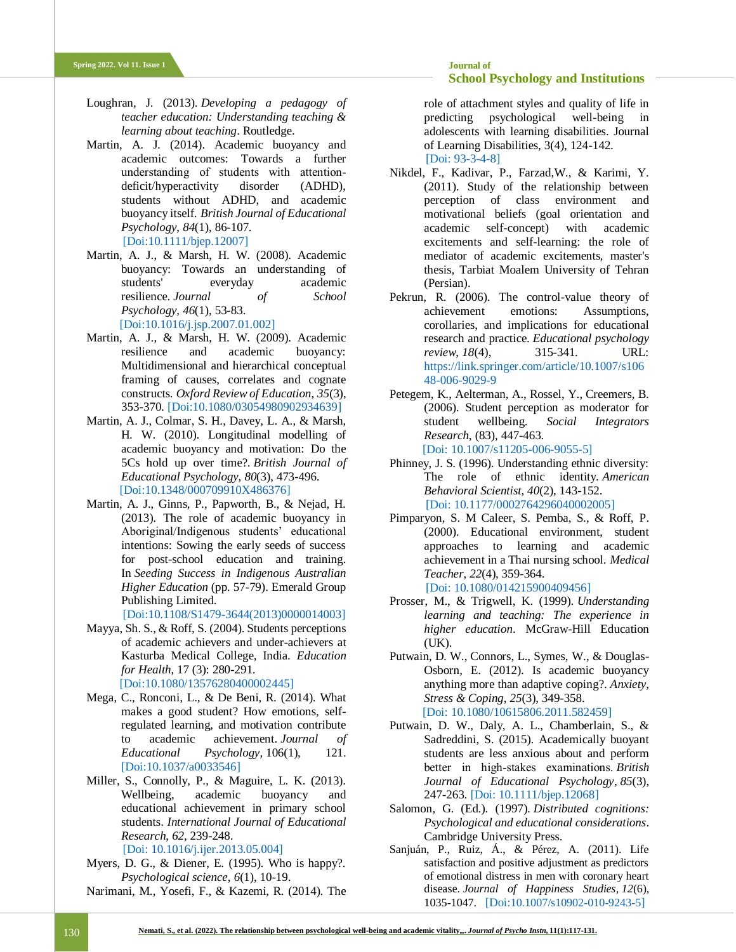- <span id="page-13-13"></span>Loughran, J. (2013). *Developing a pedagogy of teacher education: Understanding teaching & learning about teaching*. Routledge.
- <span id="page-13-5"></span>Martin, A. J. (2014). Academic buoyancy and academic outcomes: Towards a further understanding of students with attention‐ deficit/hyperactivity disorder (ADHD), students without ADHD, and academic buoyancy itself. *British Journal of Educational Psychology*, *84*(1), 86-107. [Doi[:10.1111/bjep.12007\]](https://doi.org/10.1111/bjep.12007)
- <span id="page-13-9"></span>Martin, A. J., & Marsh, H. W. (2008). Academic buoyancy: Towards an understanding of students' everyday academic resilience. *Journal of School Psychology*, *46*(1), 53-83. [Doi[:10.1016/j.jsp.2007.01.002\]](https://doi.org/10.1016/j.jsp.2007.01.002)
- <span id="page-13-11"></span>Martin, A. J., & Marsh, H. W. (2009). Academic resilience and academic buoyancy: Multidimensional and hierarchical conceptual framing of causes, correlates and cognate constructs. *Oxford Review of Education*, *35*(3), 353-370. [Doi[:10.1080/03054980902934639\]](https://doi.org/10.1080/03054980902934639)
- <span id="page-13-15"></span>Martin, A. J., Colmar, S. H., Davey, L. A., & Marsh, H. W. (2010). Longitudinal modelling of academic buoyancy and motivation: Do the 5Cs hold up over time?. *British Journal of Educational Psychology*, *80*(3), 473-496. [Doi[:10.1348/000709910X486376\]](https://doi.org/10.1348/000709910x486376)
- Martin, A. J., Ginns, P., Papworth, B., & Nejad, H. (2013). The role of academic buoyancy in Aboriginal/Indigenous students' educational intentions: Sowing the early seeds of success for post-school education and training. In *Seeding Success in Indigenous Australian Higher Education* (pp. 57-79). Emerald Group Publishing Limited.

[Doi[:10.1108/S1479-3644\(2013\)0000014003\]](http://dx.doi.org/10.1108/S1479-3644(2013)0000014003)

<span id="page-13-3"></span>Mayya, Sh. S., & Roff, S. (2004). Students perceptions of academic achievers and under-achievers at Kasturba Medical College, India. *Education for Health*, 17 (3): 280-291.

[Doi[:10.1080/13576280400002445\]](doi:%2010.1037/a0033546)

- <span id="page-13-10"></span>Mega, C., Ronconi, L., & De Beni, R. (2014). What makes a good student? How emotions, selfregulated learning, and motivation contribute to academic achievement. *Journal of Educational Psychology*, 106(1), 121. [Doi[:10.1037/a0033546\]](http://dx.doi.org/10.1037/a0033546)
- <span id="page-13-4"></span>Miller, S., Connolly, P., & Maguire, L. K. (2013). Wellbeing, academic buoyancy and educational achievement in primary school students. *International Journal of Educational Research*, *62*, 239-248.

[Doi[: 10.1016/j.ijer.2013.05.004\]](https://doi.org/10.1016/j.ijer.2013.05.004)

<span id="page-13-6"></span>Myers, D. G., & Diener, E. (1995). Who is happy?. *Psychological science*, *6*(1), 10-19.

Narimani, M., Yosefi, F., & Kazemi, R. (2014). The

role of attachment styles and quality of life in predicting psychological well-being in adolescents with learning disabilities. Journal of Learning Disabilities, 3(4), 124-142.

[Doi: [93-3-4-8\]](93-3-4-8)

- Nikdel, F., Kadivar, P., Farzad,W., & Karimi, Y. (2011). Study of the relationship between perception of class environment and motivational beliefs (goal orientation and academic self-concept) with academic excitements and self-learning: the role of mediator of academic excitements, master's thesis, Tarbiat Moalem University of Tehran (Persian).
- <span id="page-13-14"></span>Pekrun, R. (2006). The control-value theory of achievement emotions: Assumptions, corollaries, and implications for educational research and practice. *Educational psychology review*, *18*(4), 315-341. URL: [https://link.springer.com/article/10.1007/s106](https://link.springer.com/article/10.1007/s10648-006-9029-9) [48-006-9029-9](https://link.springer.com/article/10.1007/s10648-006-9029-9)
- <span id="page-13-2"></span>Petegem, K., Aelterman, A., Rossel, Y., Creemers, B. (2006). Student perception as moderator for student wellbeing. *Social Integrators Research*, (83), 447-463. [Doi: [10.1007/s11205-006-9055-5\]](doi:%2010.1007/s11205-006-9055-5)

<span id="page-13-7"></span>Phinney, J. S. (1996). Understanding ethnic diversity: The role of ethnic identity. *American Behavioral Scientist*, *40*(2), 143-152.

[Doi[: 10.1177/0002764296040002005\]](https://psycnet.apa.org/doi/10.1177/0002764296040002005)

- <span id="page-13-1"></span>Pimparyon, S. M Caleer, S. Pemba, S., & Roff, P. (2000). Educational environment, student approaches to learning and academic achievement in a Thai nursing school. *Medical Teacher*, *22*(4), 359-364. [Doi[: 10.1080/014215900409456\]](https://doi.org/10.1080/014215900409456)
- <span id="page-13-0"></span>Prosser, M., & Trigwell, K. (1999). *Understanding learning and teaching: The experience in higher education*. McGraw-Hill Education (UK).
- <span id="page-13-12"></span>Putwain, D. W., Connors, L., Symes, W., & Douglas-Osborn, E. (2012). Is academic buoyancy anything more than adaptive coping?. *Anxiety, Stress & Coping*, *25*(3), 349-358. [Doi: [10.1080/10615806.2011.582459\]](https://doi.org/10.1080/10615806.2011.582459)
- <span id="page-13-16"></span>Putwain, D. W., Daly, A. L., Chamberlain, S., & Sadreddini, S. (2015). Academically buoyant students are less anxious about and perform better in high‐stakes examinations. *British Journal of Educational Psychology*, *85*(3), 247-263. [Doi: [10.1111/bjep.12068\]](https://doi.org/10.1111/bjep.12068)
- Salomon, G. (Ed.). (1997). *Distributed cognitions: Psychological and educational considerations*. Cambridge University Press.
- <span id="page-13-8"></span>Sanjuán, P., Ruiz, Á., & Pérez, A. (2011). Life satisfaction and positive adjustment as predictors of emotional distress in men with coronary heart disease. *Journal of Happiness Studies*, *12*(6), 1035-1047. [Doi:[10.1007/s10902-010-9243-5](doi:%2010.1007/s10902-010-9243-5)]